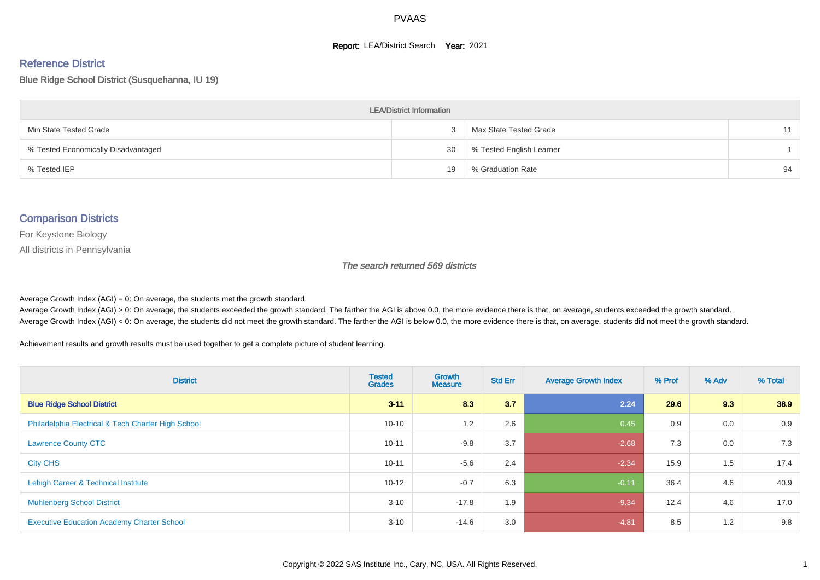#### **Report: LEA/District Search Year: 2021**

#### Reference District

Blue Ridge School District (Susquehanna, IU 19)

| <b>LEA/District Information</b>     |    |                          |    |  |  |  |  |  |  |
|-------------------------------------|----|--------------------------|----|--|--|--|--|--|--|
| Min State Tested Grade              |    | Max State Tested Grade   | 11 |  |  |  |  |  |  |
| % Tested Economically Disadvantaged | 30 | % Tested English Learner |    |  |  |  |  |  |  |
| % Tested IEP                        | 19 | % Graduation Rate        | 94 |  |  |  |  |  |  |

#### Comparison Districts

For Keystone Biology

All districts in Pennsylvania

The search returned 569 districts

Average Growth Index  $(AGI) = 0$ : On average, the students met the growth standard.

Average Growth Index (AGI) > 0: On average, the students exceeded the growth standard. The farther the AGI is above 0.0, the more evidence there is that, on average, students exceeded the growth standard. Average Growth Index (AGI) < 0: On average, the students did not meet the growth standard. The farther the AGI is below 0.0, the more evidence there is that, on average, students did not meet the growth standard.

Achievement results and growth results must be used together to get a complete picture of student learning.

| <b>District</b>                                    | <b>Tested</b><br><b>Grades</b> | Growth<br><b>Measure</b> | <b>Std Err</b> | <b>Average Growth Index</b> | % Prof | % Adv | % Total |
|----------------------------------------------------|--------------------------------|--------------------------|----------------|-----------------------------|--------|-------|---------|
| <b>Blue Ridge School District</b>                  | $3 - 11$                       | 8.3                      | 3.7            | 2.24                        | 29.6   | 9.3   | 38.9    |
| Philadelphia Electrical & Tech Charter High School | $10 - 10$                      | 1.2                      | 2.6            | 0.45                        | 0.9    | 0.0   | 0.9     |
| <b>Lawrence County CTC</b>                         | $10 - 11$                      | $-9.8$                   | 3.7            | $-2.68$                     | 7.3    | 0.0   | 7.3     |
| <b>City CHS</b>                                    | $10 - 11$                      | $-5.6$                   | 2.4            | $-2.34$                     | 15.9   | 1.5   | 17.4    |
| Lehigh Career & Technical Institute                | $10 - 12$                      | $-0.7$                   | 6.3            | $-0.11$                     | 36.4   | 4.6   | 40.9    |
| <b>Muhlenberg School District</b>                  | $3 - 10$                       | $-17.8$                  | 1.9            | $-9.34$                     | 12.4   | 4.6   | 17.0    |
| <b>Executive Education Academy Charter School</b>  | $3 - 10$                       | $-14.6$                  | 3.0            | $-4.81$                     | 8.5    | 1.2   | 9.8     |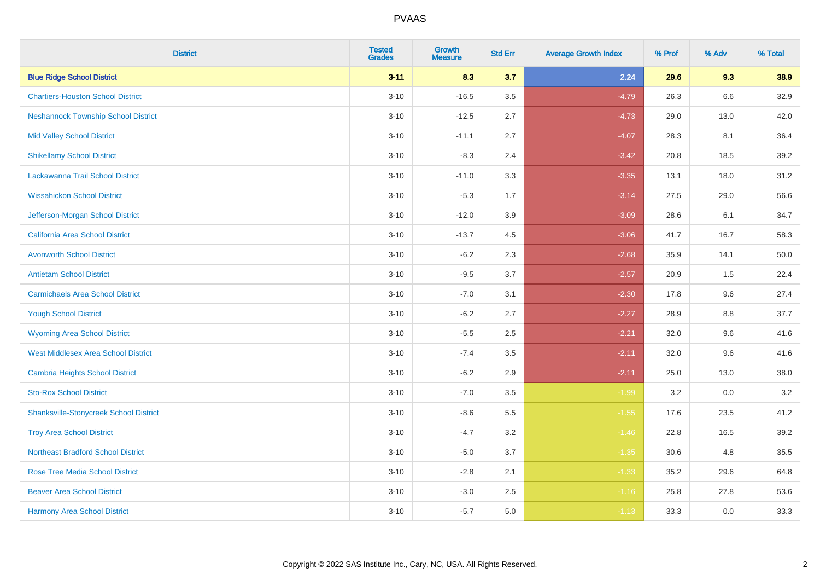| <b>District</b>                               | <b>Tested</b><br><b>Grades</b> | <b>Growth</b><br><b>Measure</b> | <b>Std Err</b> | <b>Average Growth Index</b> | % Prof | % Adv   | % Total |
|-----------------------------------------------|--------------------------------|---------------------------------|----------------|-----------------------------|--------|---------|---------|
| <b>Blue Ridge School District</b>             | $3 - 11$                       | 8.3                             | 3.7            | 2.24                        | 29.6   | 9.3     | 38.9    |
| <b>Chartiers-Houston School District</b>      | $3 - 10$                       | $-16.5$                         | 3.5            | $-4.79$                     | 26.3   | $6.6\,$ | 32.9    |
| <b>Neshannock Township School District</b>    | $3 - 10$                       | $-12.5$                         | 2.7            | $-4.73$                     | 29.0   | 13.0    | 42.0    |
| <b>Mid Valley School District</b>             | $3 - 10$                       | $-11.1$                         | 2.7            | $-4.07$                     | 28.3   | 8.1     | 36.4    |
| <b>Shikellamy School District</b>             | $3 - 10$                       | $-8.3$                          | 2.4            | $-3.42$                     | 20.8   | 18.5    | 39.2    |
| Lackawanna Trail School District              | $3 - 10$                       | $-11.0$                         | 3.3            | $-3.35$                     | 13.1   | 18.0    | 31.2    |
| <b>Wissahickon School District</b>            | $3 - 10$                       | $-5.3$                          | 1.7            | $-3.14$                     | 27.5   | 29.0    | 56.6    |
| Jefferson-Morgan School District              | $3 - 10$                       | $-12.0$                         | 3.9            | $-3.09$                     | 28.6   | 6.1     | 34.7    |
| California Area School District               | $3 - 10$                       | $-13.7$                         | 4.5            | $-3.06$                     | 41.7   | 16.7    | 58.3    |
| <b>Avonworth School District</b>              | $3 - 10$                       | $-6.2$                          | 2.3            | $-2.68$                     | 35.9   | 14.1    | 50.0    |
| <b>Antietam School District</b>               | $3 - 10$                       | $-9.5$                          | 3.7            | $-2.57$                     | 20.9   | 1.5     | 22.4    |
| <b>Carmichaels Area School District</b>       | $3 - 10$                       | $-7.0$                          | 3.1            | $-2.30$                     | 17.8   | 9.6     | 27.4    |
| <b>Yough School District</b>                  | $3 - 10$                       | $-6.2$                          | 2.7            | $-2.27$                     | 28.9   | $8.8\,$ | 37.7    |
| <b>Wyoming Area School District</b>           | $3 - 10$                       | $-5.5$                          | 2.5            | $-2.21$                     | 32.0   | 9.6     | 41.6    |
| <b>West Middlesex Area School District</b>    | $3 - 10$                       | $-7.4$                          | 3.5            | $-2.11$                     | 32.0   | 9.6     | 41.6    |
| <b>Cambria Heights School District</b>        | $3 - 10$                       | $-6.2$                          | 2.9            | $-2.11$                     | 25.0   | 13.0    | 38.0    |
| <b>Sto-Rox School District</b>                | $3 - 10$                       | $-7.0$                          | 3.5            | $-1.99$                     | 3.2    | 0.0     | 3.2     |
| <b>Shanksville-Stonycreek School District</b> | $3 - 10$                       | $-8.6$                          | 5.5            | $-1.55$                     | 17.6   | 23.5    | 41.2    |
| <b>Troy Area School District</b>              | $3 - 10$                       | $-4.7$                          | 3.2            | $-1.46$                     | 22.8   | 16.5    | 39.2    |
| <b>Northeast Bradford School District</b>     | $3 - 10$                       | $-5.0$                          | 3.7            | $-1.35$                     | 30.6   | 4.8     | 35.5    |
| <b>Rose Tree Media School District</b>        | $3 - 10$                       | $-2.8$                          | 2.1            | $-1.33$                     | 35.2   | 29.6    | 64.8    |
| <b>Beaver Area School District</b>            | $3 - 10$                       | $-3.0$                          | 2.5            | $-1.16$                     | 25.8   | 27.8    | 53.6    |
| <b>Harmony Area School District</b>           | $3 - 10$                       | $-5.7$                          | 5.0            | $-1.13$                     | 33.3   | 0.0     | 33.3    |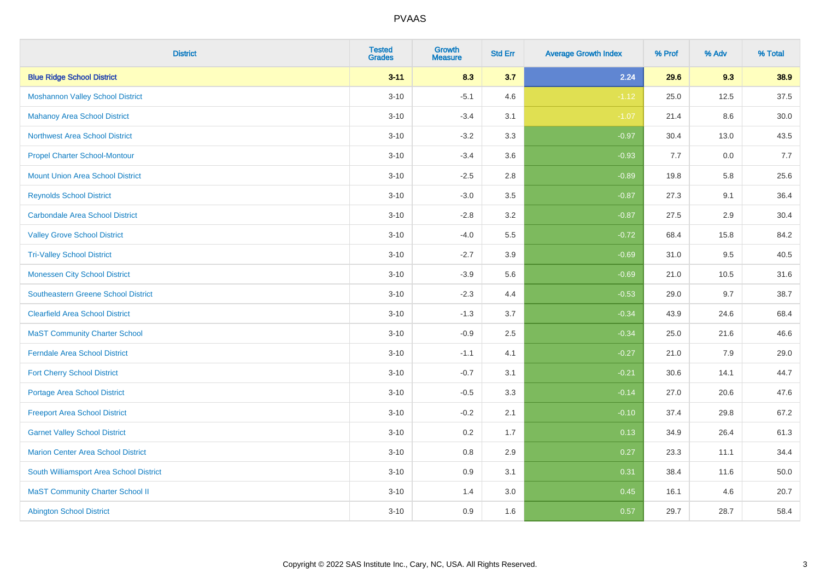| <b>District</b>                            | <b>Tested</b><br><b>Grades</b> | Growth<br><b>Measure</b> | <b>Std Err</b> | <b>Average Growth Index</b> | % Prof | % Adv | % Total |
|--------------------------------------------|--------------------------------|--------------------------|----------------|-----------------------------|--------|-------|---------|
| <b>Blue Ridge School District</b>          | $3 - 11$                       | 8.3                      | 3.7            | 2.24                        | 29.6   | 9.3   | 38.9    |
| <b>Moshannon Valley School District</b>    | $3 - 10$                       | $-5.1$                   | 4.6            | $-1.12$                     | 25.0   | 12.5  | 37.5    |
| <b>Mahanoy Area School District</b>        | $3 - 10$                       | $-3.4$                   | 3.1            | $-1.07$                     | 21.4   | 8.6   | 30.0    |
| <b>Northwest Area School District</b>      | $3 - 10$                       | $-3.2$                   | 3.3            | $-0.97$                     | 30.4   | 13.0  | 43.5    |
| <b>Propel Charter School-Montour</b>       | $3 - 10$                       | $-3.4$                   | 3.6            | $-0.93$                     | 7.7    | 0.0   | 7.7     |
| <b>Mount Union Area School District</b>    | $3 - 10$                       | $-2.5$                   | 2.8            | $-0.89$                     | 19.8   | 5.8   | 25.6    |
| <b>Reynolds School District</b>            | $3 - 10$                       | $-3.0$                   | 3.5            | $-0.87$                     | 27.3   | 9.1   | 36.4    |
| <b>Carbondale Area School District</b>     | $3 - 10$                       | $-2.8$                   | 3.2            | $-0.87$                     | 27.5   | 2.9   | 30.4    |
| <b>Valley Grove School District</b>        | $3 - 10$                       | $-4.0$                   | 5.5            | $-0.72$                     | 68.4   | 15.8  | 84.2    |
| <b>Tri-Valley School District</b>          | $3 - 10$                       | $-2.7$                   | 3.9            | $-0.69$                     | 31.0   | 9.5   | 40.5    |
| <b>Monessen City School District</b>       | $3 - 10$                       | $-3.9$                   | 5.6            | $-0.69$                     | 21.0   | 10.5  | 31.6    |
| <b>Southeastern Greene School District</b> | $3 - 10$                       | $-2.3$                   | 4.4            | $-0.53$                     | 29.0   | 9.7   | 38.7    |
| <b>Clearfield Area School District</b>     | $3 - 10$                       | $-1.3$                   | 3.7            | $-0.34$                     | 43.9   | 24.6  | 68.4    |
| <b>MaST Community Charter School</b>       | $3 - 10$                       | $-0.9$                   | 2.5            | $-0.34$                     | 25.0   | 21.6  | 46.6    |
| <b>Ferndale Area School District</b>       | $3 - 10$                       | $-1.1$                   | 4.1            | $-0.27$                     | 21.0   | 7.9   | 29.0    |
| <b>Fort Cherry School District</b>         | $3 - 10$                       | $-0.7$                   | 3.1            | $-0.21$                     | 30.6   | 14.1  | 44.7    |
| <b>Portage Area School District</b>        | $3 - 10$                       | $-0.5$                   | 3.3            | $-0.14$                     | 27.0   | 20.6  | 47.6    |
| <b>Freeport Area School District</b>       | $3 - 10$                       | $-0.2$                   | 2.1            | $-0.10$                     | 37.4   | 29.8  | 67.2    |
| <b>Garnet Valley School District</b>       | $3 - 10$                       | 0.2                      | 1.7            | 0.13                        | 34.9   | 26.4  | 61.3    |
| <b>Marion Center Area School District</b>  | $3 - 10$                       | $0.8\,$                  | 2.9            | 0.27                        | 23.3   | 11.1  | 34.4    |
| South Williamsport Area School District    | $3 - 10$                       | 0.9                      | 3.1            | 0.31                        | 38.4   | 11.6  | 50.0    |
| <b>MaST Community Charter School II</b>    | $3 - 10$                       | 1.4                      | 3.0            | 0.45                        | 16.1   | 4.6   | 20.7    |
| <b>Abington School District</b>            | $3 - 10$                       | 0.9                      | 1.6            | 0.57                        | 29.7   | 28.7  | 58.4    |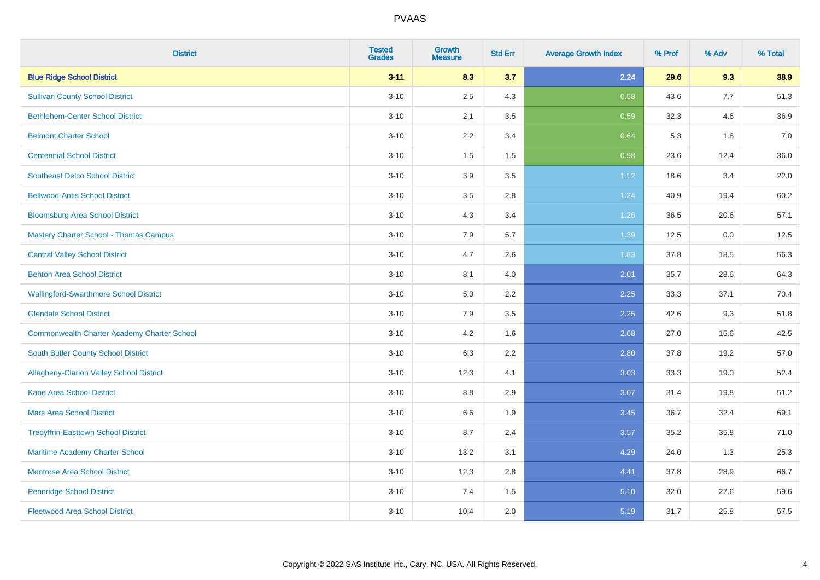| <b>District</b>                                    | <b>Tested</b><br><b>Grades</b> | <b>Growth</b><br><b>Measure</b> | <b>Std Err</b> | <b>Average Growth Index</b> | % Prof | % Adv | % Total |
|----------------------------------------------------|--------------------------------|---------------------------------|----------------|-----------------------------|--------|-------|---------|
| <b>Blue Ridge School District</b>                  | $3 - 11$                       | 8.3                             | 3.7            | 2.24                        | 29.6   | 9.3   | 38.9    |
| <b>Sullivan County School District</b>             | $3 - 10$                       | 2.5                             | 4.3            | 0.58                        | 43.6   | 7.7   | 51.3    |
| <b>Bethlehem-Center School District</b>            | $3 - 10$                       | 2.1                             | 3.5            | 0.59                        | 32.3   | 4.6   | 36.9    |
| <b>Belmont Charter School</b>                      | $3 - 10$                       | 2.2                             | 3.4            | 0.64                        | 5.3    | 1.8   | 7.0     |
| <b>Centennial School District</b>                  | $3 - 10$                       | 1.5                             | 1.5            | 0.98                        | 23.6   | 12.4  | 36.0    |
| <b>Southeast Delco School District</b>             | $3 - 10$                       | 3.9                             | 3.5            | 1.12                        | 18.6   | 3.4   | 22.0    |
| <b>Bellwood-Antis School District</b>              | $3 - 10$                       | 3.5                             | 2.8            | 1.24                        | 40.9   | 19.4  | 60.2    |
| <b>Bloomsburg Area School District</b>             | $3 - 10$                       | 4.3                             | 3.4            | 1.26                        | 36.5   | 20.6  | 57.1    |
| <b>Mastery Charter School - Thomas Campus</b>      | $3 - 10$                       | 7.9                             | 5.7            | 1.39                        | 12.5   | 0.0   | 12.5    |
| <b>Central Valley School District</b>              | $3 - 10$                       | 4.7                             | 2.6            | 1.83                        | 37.8   | 18.5  | 56.3    |
| <b>Benton Area School District</b>                 | $3 - 10$                       | 8.1                             | 4.0            | 2.01                        | 35.7   | 28.6  | 64.3    |
| <b>Wallingford-Swarthmore School District</b>      | $3 - 10$                       | 5.0                             | 2.2            | 2.25                        | 33.3   | 37.1  | 70.4    |
| <b>Glendale School District</b>                    | $3 - 10$                       | 7.9                             | 3.5            | 2.25                        | 42.6   | 9.3   | 51.8    |
| <b>Commonwealth Charter Academy Charter School</b> | $3 - 10$                       | 4.2                             | 1.6            | 2.68                        | 27.0   | 15.6  | 42.5    |
| South Butler County School District                | $3 - 10$                       | 6.3                             | 2.2            | 2.80                        | 37.8   | 19.2  | 57.0    |
| Allegheny-Clarion Valley School District           | $3 - 10$                       | 12.3                            | 4.1            | 3.03                        | 33.3   | 19.0  | 52.4    |
| <b>Kane Area School District</b>                   | $3 - 10$                       | 8.8                             | 2.9            | 3.07                        | 31.4   | 19.8  | 51.2    |
| <b>Mars Area School District</b>                   | $3 - 10$                       | 6.6                             | 1.9            | 3.45                        | 36.7   | 32.4  | 69.1    |
| <b>Tredyffrin-Easttown School District</b>         | $3 - 10$                       | 8.7                             | 2.4            | 3.57                        | 35.2   | 35.8  | 71.0    |
| Maritime Academy Charter School                    | $3 - 10$                       | 13.2                            | 3.1            | 4.29                        | 24.0   | 1.3   | 25.3    |
| Montrose Area School District                      | $3 - 10$                       | 12.3                            | 2.8            | 4.41                        | 37.8   | 28.9  | 66.7    |
| <b>Pennridge School District</b>                   | $3 - 10$                       | 7.4                             | 1.5            | 5.10                        | 32.0   | 27.6  | 59.6    |
| <b>Fleetwood Area School District</b>              | $3 - 10$                       | 10.4                            | 2.0            | 5.19                        | 31.7   | 25.8  | 57.5    |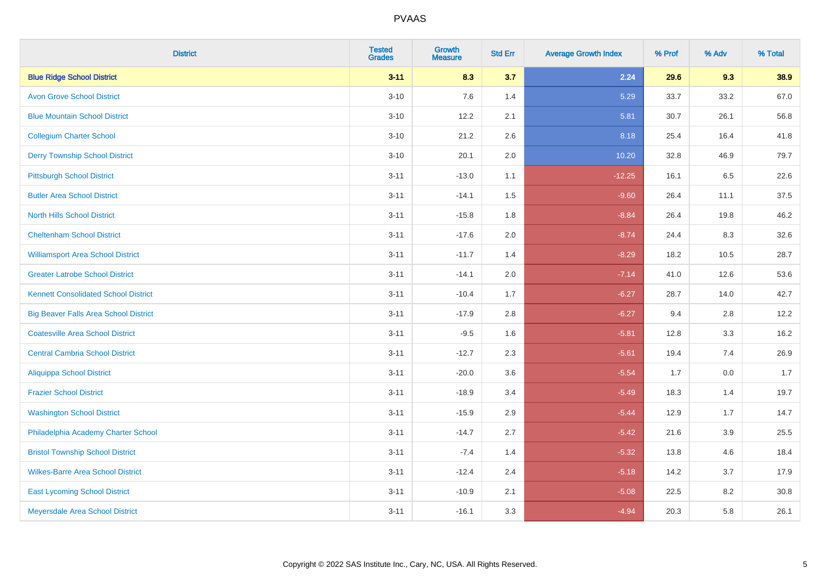| <b>District</b>                              | <b>Tested</b><br><b>Grades</b> | Growth<br><b>Measure</b> | <b>Std Err</b> | <b>Average Growth Index</b> | % Prof | % Adv | % Total |
|----------------------------------------------|--------------------------------|--------------------------|----------------|-----------------------------|--------|-------|---------|
| <b>Blue Ridge School District</b>            | $3 - 11$                       | 8.3                      | 3.7            | 2.24                        | 29.6   | 9.3   | 38.9    |
| <b>Avon Grove School District</b>            | $3 - 10$                       | 7.6                      | 1.4            | 5.29                        | 33.7   | 33.2  | 67.0    |
| <b>Blue Mountain School District</b>         | $3 - 10$                       | 12.2                     | 2.1            | 5.81                        | 30.7   | 26.1  | 56.8    |
| <b>Collegium Charter School</b>              | $3 - 10$                       | 21.2                     | 2.6            | 8.18                        | 25.4   | 16.4  | 41.8    |
| <b>Derry Township School District</b>        | $3 - 10$                       | 20.1                     | 2.0            | 10.20                       | 32.8   | 46.9  | 79.7    |
| <b>Pittsburgh School District</b>            | $3 - 11$                       | $-13.0$                  | 1.1            | $-12.25$                    | 16.1   | 6.5   | 22.6    |
| <b>Butler Area School District</b>           | $3 - 11$                       | $-14.1$                  | 1.5            | $-9.60$                     | 26.4   | 11.1  | 37.5    |
| <b>North Hills School District</b>           | $3 - 11$                       | $-15.8$                  | 1.8            | $-8.84$                     | 26.4   | 19.8  | 46.2    |
| <b>Cheltenham School District</b>            | $3 - 11$                       | $-17.6$                  | 2.0            | $-8.74$                     | 24.4   | 8.3   | 32.6    |
| <b>Williamsport Area School District</b>     | $3 - 11$                       | $-11.7$                  | 1.4            | $-8.29$                     | 18.2   | 10.5  | 28.7    |
| <b>Greater Latrobe School District</b>       | $3 - 11$                       | $-14.1$                  | 2.0            | $-7.14$                     | 41.0   | 12.6  | 53.6    |
| <b>Kennett Consolidated School District</b>  | $3 - 11$                       | $-10.4$                  | 1.7            | $-6.27$                     | 28.7   | 14.0  | 42.7    |
| <b>Big Beaver Falls Area School District</b> | $3 - 11$                       | $-17.9$                  | 2.8            | $-6.27$                     | 9.4    | 2.8   | 12.2    |
| <b>Coatesville Area School District</b>      | $3 - 11$                       | $-9.5$                   | 1.6            | $-5.81$                     | 12.8   | 3.3   | 16.2    |
| <b>Central Cambria School District</b>       | $3 - 11$                       | $-12.7$                  | 2.3            | $-5.61$                     | 19.4   | 7.4   | 26.9    |
| <b>Aliquippa School District</b>             | $3 - 11$                       | $-20.0$                  | 3.6            | $-5.54$                     | 1.7    | 0.0   | 1.7     |
| <b>Frazier School District</b>               | $3 - 11$                       | $-18.9$                  | 3.4            | $-5.49$                     | 18.3   | 1.4   | 19.7    |
| <b>Washington School District</b>            | $3 - 11$                       | $-15.9$                  | 2.9            | $-5.44$                     | 12.9   | 1.7   | 14.7    |
| Philadelphia Academy Charter School          | $3 - 11$                       | $-14.7$                  | 2.7            | $-5.42$                     | 21.6   | 3.9   | 25.5    |
| <b>Bristol Township School District</b>      | $3 - 11$                       | $-7.4$                   | 1.4            | $-5.32$                     | 13.8   | 4.6   | 18.4    |
| <b>Wilkes-Barre Area School District</b>     | $3 - 11$                       | $-12.4$                  | 2.4            | $-5.18$                     | 14.2   | 3.7   | 17.9    |
| <b>East Lycoming School District</b>         | $3 - 11$                       | $-10.9$                  | 2.1            | $-5.08$                     | 22.5   | 8.2   | 30.8    |
| Meyersdale Area School District              | $3 - 11$                       | $-16.1$                  | 3.3            | $-4.94$                     | 20.3   | 5.8   | 26.1    |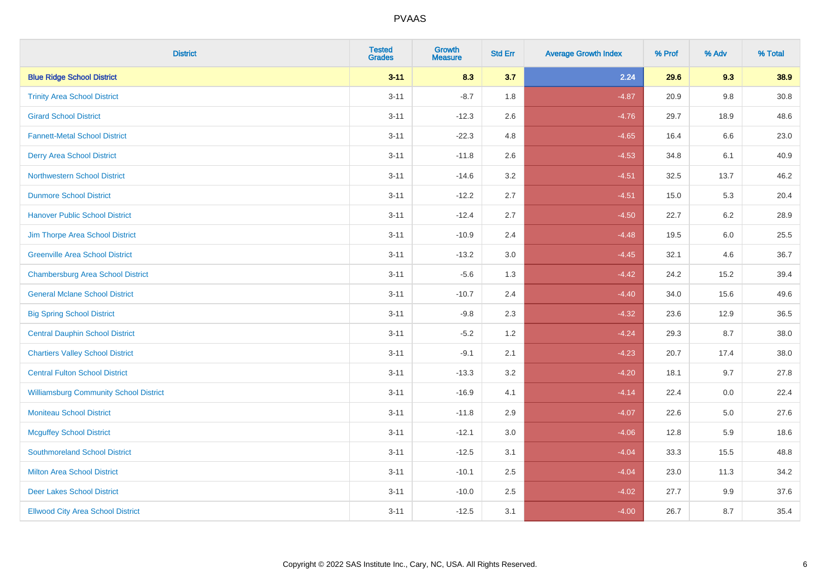| <b>District</b>                               | <b>Tested</b><br><b>Grades</b> | Growth<br><b>Measure</b> | <b>Std Err</b> | <b>Average Growth Index</b> | % Prof | % Adv   | % Total |
|-----------------------------------------------|--------------------------------|--------------------------|----------------|-----------------------------|--------|---------|---------|
| <b>Blue Ridge School District</b>             | $3 - 11$                       | 8.3                      | 3.7            | 2.24                        | 29.6   | 9.3     | 38.9    |
| <b>Trinity Area School District</b>           | $3 - 11$                       | $-8.7$                   | 1.8            | $-4.87$                     | 20.9   | $9.8\,$ | 30.8    |
| <b>Girard School District</b>                 | $3 - 11$                       | $-12.3$                  | 2.6            | $-4.76$                     | 29.7   | 18.9    | 48.6    |
| <b>Fannett-Metal School District</b>          | $3 - 11$                       | $-22.3$                  | 4.8            | $-4.65$                     | 16.4   | $6.6\,$ | 23.0    |
| <b>Derry Area School District</b>             | $3 - 11$                       | $-11.8$                  | 2.6            | $-4.53$                     | 34.8   | 6.1     | 40.9    |
| <b>Northwestern School District</b>           | $3 - 11$                       | $-14.6$                  | 3.2            | $-4.51$                     | 32.5   | 13.7    | 46.2    |
| <b>Dunmore School District</b>                | $3 - 11$                       | $-12.2$                  | 2.7            | $-4.51$                     | 15.0   | 5.3     | 20.4    |
| <b>Hanover Public School District</b>         | $3 - 11$                       | $-12.4$                  | 2.7            | $-4.50$                     | 22.7   | 6.2     | 28.9    |
| Jim Thorpe Area School District               | $3 - 11$                       | $-10.9$                  | 2.4            | $-4.48$                     | 19.5   | 6.0     | 25.5    |
| <b>Greenville Area School District</b>        | $3 - 11$                       | $-13.2$                  | 3.0            | $-4.45$                     | 32.1   | 4.6     | 36.7    |
| <b>Chambersburg Area School District</b>      | $3 - 11$                       | $-5.6$                   | 1.3            | $-4.42$                     | 24.2   | 15.2    | 39.4    |
| <b>General Mclane School District</b>         | $3 - 11$                       | $-10.7$                  | 2.4            | $-4.40$                     | 34.0   | 15.6    | 49.6    |
| <b>Big Spring School District</b>             | $3 - 11$                       | $-9.8$                   | 2.3            | $-4.32$                     | 23.6   | 12.9    | 36.5    |
| <b>Central Dauphin School District</b>        | $3 - 11$                       | $-5.2$                   | 1.2            | $-4.24$                     | 29.3   | 8.7     | 38.0    |
| <b>Chartiers Valley School District</b>       | $3 - 11$                       | $-9.1$                   | 2.1            | $-4.23$                     | 20.7   | 17.4    | 38.0    |
| <b>Central Fulton School District</b>         | $3 - 11$                       | $-13.3$                  | 3.2            | $-4.20$                     | 18.1   | 9.7     | 27.8    |
| <b>Williamsburg Community School District</b> | $3 - 11$                       | $-16.9$                  | 4.1            | $-4.14$                     | 22.4   | 0.0     | 22.4    |
| <b>Moniteau School District</b>               | $3 - 11$                       | $-11.8$                  | 2.9            | $-4.07$                     | 22.6   | 5.0     | 27.6    |
| <b>Mcguffey School District</b>               | $3 - 11$                       | $-12.1$                  | 3.0            | $-4.06$                     | 12.8   | 5.9     | 18.6    |
| <b>Southmoreland School District</b>          | $3 - 11$                       | $-12.5$                  | 3.1            | $-4.04$                     | 33.3   | 15.5    | 48.8    |
| <b>Milton Area School District</b>            | $3 - 11$                       | $-10.1$                  | 2.5            | $-4.04$                     | 23.0   | 11.3    | 34.2    |
| <b>Deer Lakes School District</b>             | $3 - 11$                       | $-10.0$                  | 2.5            | $-4.02$                     | 27.7   | 9.9     | 37.6    |
| <b>Ellwood City Area School District</b>      | $3 - 11$                       | $-12.5$                  | 3.1            | $-4.00$                     | 26.7   | 8.7     | 35.4    |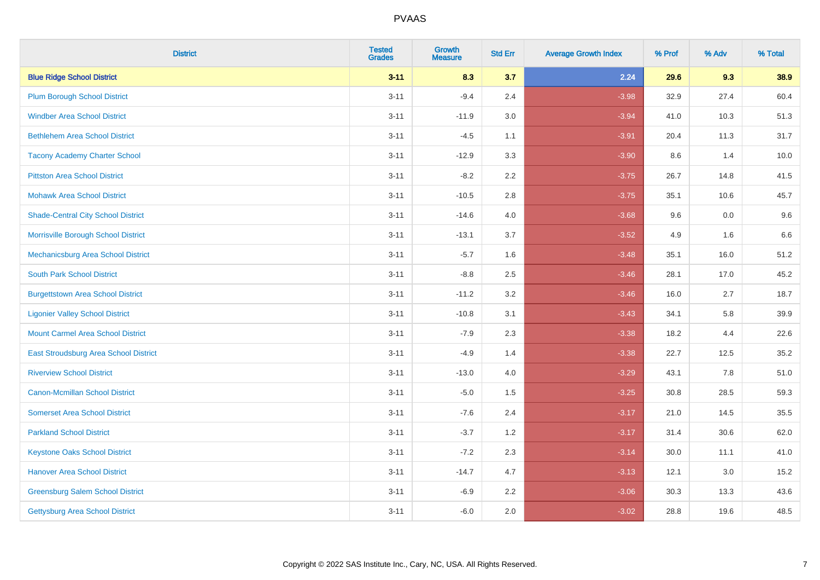| <b>District</b>                           | <b>Tested</b><br><b>Grades</b> | Growth<br><b>Measure</b> | <b>Std Err</b> | <b>Average Growth Index</b> | % Prof | % Adv | % Total |
|-------------------------------------------|--------------------------------|--------------------------|----------------|-----------------------------|--------|-------|---------|
| <b>Blue Ridge School District</b>         | $3 - 11$                       | 8.3                      | 3.7            | 2.24                        | 29.6   | 9.3   | 38.9    |
| <b>Plum Borough School District</b>       | $3 - 11$                       | $-9.4$                   | 2.4            | $-3.98$                     | 32.9   | 27.4  | 60.4    |
| <b>Windber Area School District</b>       | $3 - 11$                       | $-11.9$                  | 3.0            | $-3.94$                     | 41.0   | 10.3  | 51.3    |
| <b>Bethlehem Area School District</b>     | $3 - 11$                       | $-4.5$                   | 1.1            | $-3.91$                     | 20.4   | 11.3  | 31.7    |
| <b>Tacony Academy Charter School</b>      | $3 - 11$                       | $-12.9$                  | 3.3            | $-3.90$                     | 8.6    | 1.4   | 10.0    |
| <b>Pittston Area School District</b>      | $3 - 11$                       | $-8.2$                   | 2.2            | $-3.75$                     | 26.7   | 14.8  | 41.5    |
| <b>Mohawk Area School District</b>        | $3 - 11$                       | $-10.5$                  | 2.8            | $-3.75$                     | 35.1   | 10.6  | 45.7    |
| <b>Shade-Central City School District</b> | $3 - 11$                       | $-14.6$                  | 4.0            | $-3.68$                     | 9.6    | 0.0   | 9.6     |
| Morrisville Borough School District       | $3 - 11$                       | $-13.1$                  | 3.7            | $-3.52$                     | 4.9    | 1.6   | 6.6     |
| Mechanicsburg Area School District        | $3 - 11$                       | $-5.7$                   | 1.6            | $-3.48$                     | 35.1   | 16.0  | 51.2    |
| <b>South Park School District</b>         | $3 - 11$                       | $-8.8$                   | 2.5            | $-3.46$                     | 28.1   | 17.0  | 45.2    |
| <b>Burgettstown Area School District</b>  | $3 - 11$                       | $-11.2$                  | 3.2            | $-3.46$                     | 16.0   | 2.7   | 18.7    |
| <b>Ligonier Valley School District</b>    | $3 - 11$                       | $-10.8$                  | 3.1            | $-3.43$                     | 34.1   | 5.8   | 39.9    |
| <b>Mount Carmel Area School District</b>  | $3 - 11$                       | $-7.9$                   | 2.3            | $-3.38$                     | 18.2   | 4.4   | 22.6    |
| East Stroudsburg Area School District     | $3 - 11$                       | $-4.9$                   | 1.4            | $-3.38$                     | 22.7   | 12.5  | 35.2    |
| <b>Riverview School District</b>          | $3 - 11$                       | $-13.0$                  | 4.0            | $-3.29$                     | 43.1   | 7.8   | 51.0    |
| <b>Canon-Mcmillan School District</b>     | $3 - 11$                       | $-5.0$                   | 1.5            | $-3.25$                     | 30.8   | 28.5  | 59.3    |
| <b>Somerset Area School District</b>      | $3 - 11$                       | $-7.6$                   | 2.4            | $-3.17$                     | 21.0   | 14.5  | 35.5    |
| <b>Parkland School District</b>           | $3 - 11$                       | $-3.7$                   | 1.2            | $-3.17$                     | 31.4   | 30.6  | 62.0    |
| <b>Keystone Oaks School District</b>      | $3 - 11$                       | $-7.2$                   | 2.3            | $-3.14$                     | 30.0   | 11.1  | 41.0    |
| <b>Hanover Area School District</b>       | $3 - 11$                       | $-14.7$                  | 4.7            | $-3.13$                     | 12.1   | 3.0   | 15.2    |
| <b>Greensburg Salem School District</b>   | $3 - 11$                       | $-6.9$                   | 2.2            | $-3.06$                     | 30.3   | 13.3  | 43.6    |
| Gettysburg Area School District           | $3 - 11$                       | $-6.0$                   | 2.0            | $-3.02$                     | 28.8   | 19.6  | 48.5    |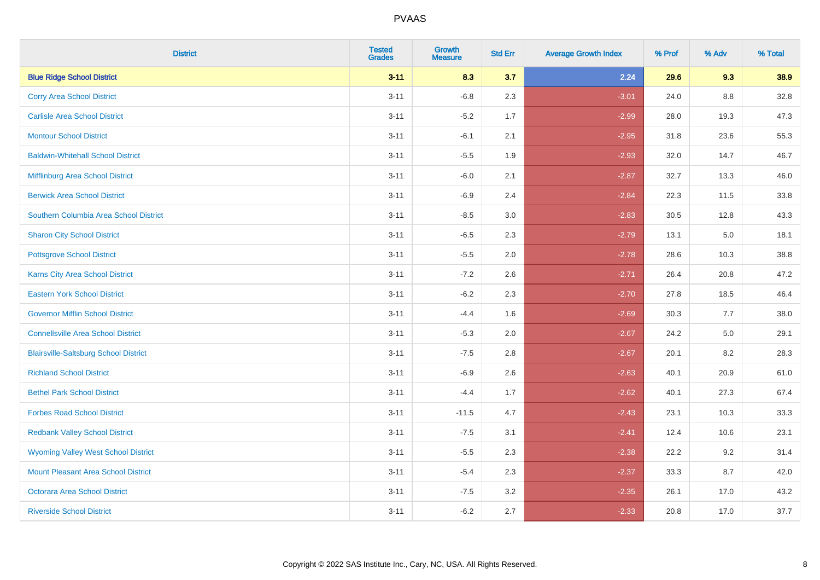| <b>District</b>                              | <b>Tested</b><br><b>Grades</b> | Growth<br><b>Measure</b> | <b>Std Err</b> | <b>Average Growth Index</b> | % Prof | % Adv   | % Total |
|----------------------------------------------|--------------------------------|--------------------------|----------------|-----------------------------|--------|---------|---------|
| <b>Blue Ridge School District</b>            | $3 - 11$                       | 8.3                      | 3.7            | 2.24                        | 29.6   | 9.3     | 38.9    |
| <b>Corry Area School District</b>            | $3 - 11$                       | $-6.8$                   | 2.3            | $-3.01$                     | 24.0   | 8.8     | 32.8    |
| <b>Carlisle Area School District</b>         | $3 - 11$                       | $-5.2$                   | 1.7            | $-2.99$                     | 28.0   | 19.3    | 47.3    |
| <b>Montour School District</b>               | $3 - 11$                       | $-6.1$                   | 2.1            | $-2.95$                     | 31.8   | 23.6    | 55.3    |
| <b>Baldwin-Whitehall School District</b>     | $3 - 11$                       | $-5.5$                   | 1.9            | $-2.93$                     | 32.0   | 14.7    | 46.7    |
| Mifflinburg Area School District             | $3 - 11$                       | $-6.0$                   | 2.1            | $-2.87$                     | 32.7   | 13.3    | 46.0    |
| <b>Berwick Area School District</b>          | $3 - 11$                       | $-6.9$                   | 2.4            | $-2.84$                     | 22.3   | 11.5    | 33.8    |
| Southern Columbia Area School District       | $3 - 11$                       | $-8.5$                   | 3.0            | $-2.83$                     | 30.5   | 12.8    | 43.3    |
| <b>Sharon City School District</b>           | $3 - 11$                       | $-6.5$                   | 2.3            | $-2.79$                     | 13.1   | 5.0     | 18.1    |
| <b>Pottsgrove School District</b>            | $3 - 11$                       | $-5.5$                   | 2.0            | $-2.78$                     | 28.6   | 10.3    | 38.8    |
| <b>Karns City Area School District</b>       | $3 - 11$                       | $-7.2$                   | 2.6            | $-2.71$                     | 26.4   | 20.8    | 47.2    |
| <b>Eastern York School District</b>          | $3 - 11$                       | $-6.2$                   | 2.3            | $-2.70$                     | 27.8   | 18.5    | 46.4    |
| <b>Governor Mifflin School District</b>      | $3 - 11$                       | $-4.4$                   | 1.6            | $-2.69$                     | 30.3   | 7.7     | 38.0    |
| <b>Connellsville Area School District</b>    | $3 - 11$                       | $-5.3$                   | 2.0            | $-2.67$                     | 24.2   | $5.0\,$ | 29.1    |
| <b>Blairsville-Saltsburg School District</b> | $3 - 11$                       | $-7.5$                   | 2.8            | $-2.67$                     | 20.1   | 8.2     | 28.3    |
| <b>Richland School District</b>              | $3 - 11$                       | $-6.9$                   | 2.6            | $-2.63$                     | 40.1   | 20.9    | 61.0    |
| <b>Bethel Park School District</b>           | $3 - 11$                       | $-4.4$                   | 1.7            | $-2.62$                     | 40.1   | 27.3    | 67.4    |
| <b>Forbes Road School District</b>           | $3 - 11$                       | $-11.5$                  | 4.7            | $-2.43$                     | 23.1   | 10.3    | 33.3    |
| <b>Redbank Valley School District</b>        | $3 - 11$                       | $-7.5$                   | 3.1            | $-2.41$                     | 12.4   | 10.6    | 23.1    |
| <b>Wyoming Valley West School District</b>   | $3 - 11$                       | $-5.5$                   | 2.3            | $-2.38$                     | 22.2   | 9.2     | 31.4    |
| Mount Pleasant Area School District          | $3 - 11$                       | $-5.4$                   | 2.3            | $-2.37$                     | 33.3   | 8.7     | 42.0    |
| <b>Octorara Area School District</b>         | $3 - 11$                       | $-7.5$                   | 3.2            | $-2.35$                     | 26.1   | 17.0    | 43.2    |
| <b>Riverside School District</b>             | $3 - 11$                       | $-6.2$                   | 2.7            | $-2.33$                     | 20.8   | 17.0    | 37.7    |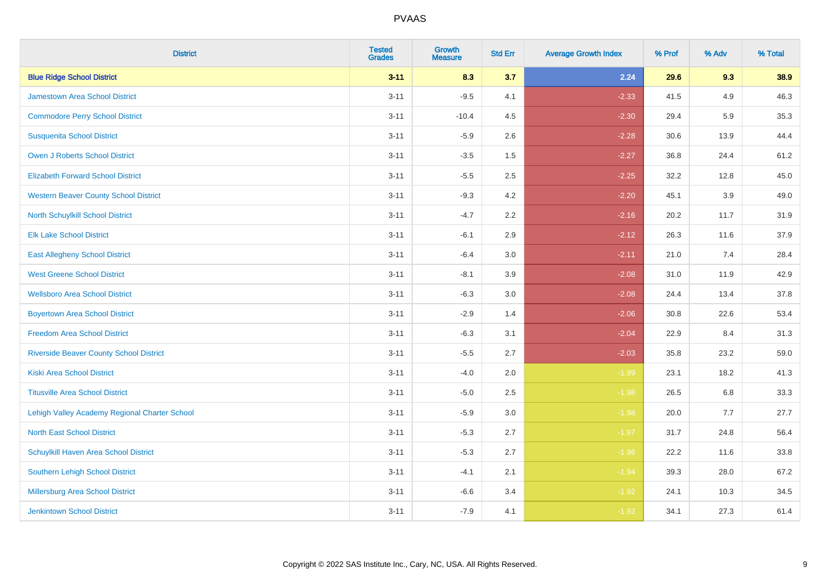| <b>District</b>                                | <b>Tested</b><br><b>Grades</b> | <b>Growth</b><br><b>Measure</b> | <b>Std Err</b> | <b>Average Growth Index</b> | % Prof | % Adv | % Total |
|------------------------------------------------|--------------------------------|---------------------------------|----------------|-----------------------------|--------|-------|---------|
| <b>Blue Ridge School District</b>              | $3 - 11$                       | 8.3                             | 3.7            | 2.24                        | 29.6   | 9.3   | 38.9    |
| <b>Jamestown Area School District</b>          | $3 - 11$                       | $-9.5$                          | 4.1            | $-2.33$                     | 41.5   | 4.9   | 46.3    |
| <b>Commodore Perry School District</b>         | $3 - 11$                       | $-10.4$                         | 4.5            | $-2.30$                     | 29.4   | 5.9   | 35.3    |
| <b>Susquenita School District</b>              | $3 - 11$                       | $-5.9$                          | 2.6            | $-2.28$                     | 30.6   | 13.9  | 44.4    |
| <b>Owen J Roberts School District</b>          | $3 - 11$                       | $-3.5$                          | 1.5            | $-2.27$                     | 36.8   | 24.4  | 61.2    |
| <b>Elizabeth Forward School District</b>       | $3 - 11$                       | $-5.5$                          | 2.5            | $-2.25$                     | 32.2   | 12.8  | 45.0    |
| <b>Western Beaver County School District</b>   | $3 - 11$                       | $-9.3$                          | 4.2            | $-2.20$                     | 45.1   | 3.9   | 49.0    |
| North Schuylkill School District               | $3 - 11$                       | $-4.7$                          | 2.2            | $-2.16$                     | 20.2   | 11.7  | 31.9    |
| <b>Elk Lake School District</b>                | $3 - 11$                       | $-6.1$                          | 2.9            | $-2.12$                     | 26.3   | 11.6  | 37.9    |
| <b>East Allegheny School District</b>          | $3 - 11$                       | $-6.4$                          | 3.0            | $-2.11$                     | 21.0   | 7.4   | 28.4    |
| <b>West Greene School District</b>             | $3 - 11$                       | $-8.1$                          | 3.9            | $-2.08$                     | 31.0   | 11.9  | 42.9    |
| <b>Wellsboro Area School District</b>          | $3 - 11$                       | $-6.3$                          | 3.0            | $-2.08$                     | 24.4   | 13.4  | 37.8    |
| <b>Boyertown Area School District</b>          | $3 - 11$                       | $-2.9$                          | 1.4            | $-2.06$                     | 30.8   | 22.6  | 53.4    |
| <b>Freedom Area School District</b>            | $3 - 11$                       | $-6.3$                          | 3.1            | $-2.04$                     | 22.9   | 8.4   | 31.3    |
| <b>Riverside Beaver County School District</b> | $3 - 11$                       | $-5.5$                          | 2.7            | $-2.03$                     | 35.8   | 23.2  | 59.0    |
| Kiski Area School District                     | $3 - 11$                       | $-4.0$                          | 2.0            | $-1.99$                     | 23.1   | 18.2  | 41.3    |
| <b>Titusville Area School District</b>         | $3 - 11$                       | $-5.0$                          | 2.5            | $-1.98$                     | 26.5   | 6.8   | 33.3    |
| Lehigh Valley Academy Regional Charter School  | $3 - 11$                       | $-5.9$                          | 3.0            | $-1.98$                     | 20.0   | 7.7   | 27.7    |
| <b>North East School District</b>              | $3 - 11$                       | $-5.3$                          | 2.7            | $-1.97$                     | 31.7   | 24.8  | 56.4    |
| Schuylkill Haven Area School District          | $3 - 11$                       | $-5.3$                          | 2.7            | $-1.96$                     | 22.2   | 11.6  | 33.8    |
| Southern Lehigh School District                | $3 - 11$                       | $-4.1$                          | 2.1            | $-1.94$                     | 39.3   | 28.0  | 67.2    |
| Millersburg Area School District               | $3 - 11$                       | $-6.6$                          | 3.4            | $-1.92$                     | 24.1   | 10.3  | 34.5    |
| <b>Jenkintown School District</b>              | $3 - 11$                       | $-7.9$                          | 4.1            | $-1.92$                     | 34.1   | 27.3  | 61.4    |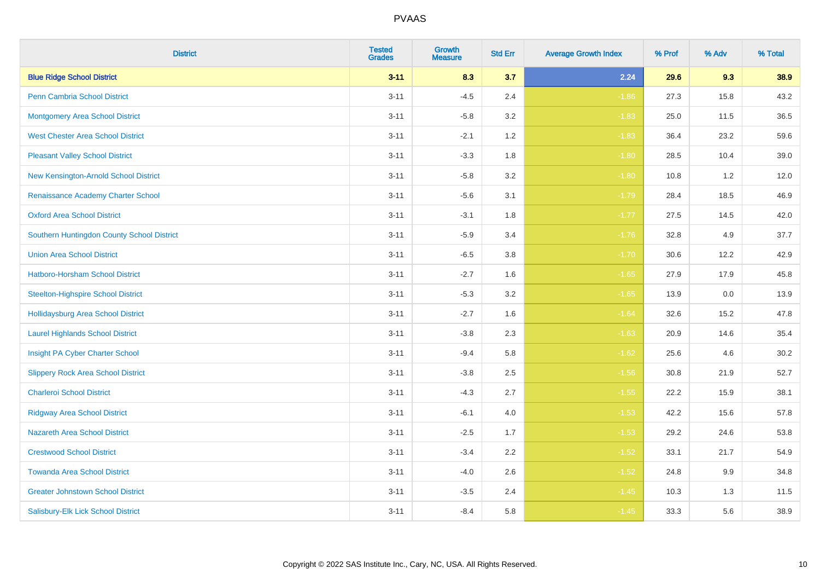| <b>District</b>                            | <b>Tested</b><br><b>Grades</b> | <b>Growth</b><br><b>Measure</b> | <b>Std Err</b> | <b>Average Growth Index</b> | % Prof | % Adv | % Total |
|--------------------------------------------|--------------------------------|---------------------------------|----------------|-----------------------------|--------|-------|---------|
| <b>Blue Ridge School District</b>          | $3 - 11$                       | 8.3                             | 3.7            | 2.24                        | 29.6   | 9.3   | 38.9    |
| <b>Penn Cambria School District</b>        | $3 - 11$                       | $-4.5$                          | 2.4            | $-1.86$                     | 27.3   | 15.8  | 43.2    |
| <b>Montgomery Area School District</b>     | $3 - 11$                       | $-5.8$                          | 3.2            | $-1.83$                     | 25.0   | 11.5  | 36.5    |
| <b>West Chester Area School District</b>   | $3 - 11$                       | $-2.1$                          | 1.2            | $-1.83$                     | 36.4   | 23.2  | 59.6    |
| <b>Pleasant Valley School District</b>     | $3 - 11$                       | $-3.3$                          | 1.8            | $-1.80$                     | 28.5   | 10.4  | 39.0    |
| New Kensington-Arnold School District      | $3 - 11$                       | $-5.8$                          | 3.2            | $-1.80$                     | 10.8   | 1.2   | 12.0    |
| Renaissance Academy Charter School         | $3 - 11$                       | $-5.6$                          | 3.1            | $-1.79$                     | 28.4   | 18.5  | 46.9    |
| <b>Oxford Area School District</b>         | $3 - 11$                       | $-3.1$                          | 1.8            | $-1.77$                     | 27.5   | 14.5  | 42.0    |
| Southern Huntingdon County School District | $3 - 11$                       | $-5.9$                          | 3.4            | $-1.76$                     | 32.8   | 4.9   | 37.7    |
| <b>Union Area School District</b>          | $3 - 11$                       | $-6.5$                          | 3.8            | $-1.70$                     | 30.6   | 12.2  | 42.9    |
| Hatboro-Horsham School District            | $3 - 11$                       | $-2.7$                          | 1.6            | $-1.65$                     | 27.9   | 17.9  | 45.8    |
| <b>Steelton-Highspire School District</b>  | $3 - 11$                       | $-5.3$                          | 3.2            | $-1.65$                     | 13.9   | 0.0   | 13.9    |
| <b>Hollidaysburg Area School District</b>  | $3 - 11$                       | $-2.7$                          | 1.6            | $-1.64$                     | 32.6   | 15.2  | 47.8    |
| <b>Laurel Highlands School District</b>    | $3 - 11$                       | $-3.8$                          | 2.3            | $-1.63$                     | 20.9   | 14.6  | 35.4    |
| Insight PA Cyber Charter School            | $3 - 11$                       | $-9.4$                          | 5.8            | $-1.62$                     | 25.6   | 4.6   | 30.2    |
| <b>Slippery Rock Area School District</b>  | $3 - 11$                       | $-3.8$                          | 2.5            | $-1.56$                     | 30.8   | 21.9  | 52.7    |
| <b>Charleroi School District</b>           | $3 - 11$                       | $-4.3$                          | 2.7            | $-1.55$                     | 22.2   | 15.9  | 38.1    |
| <b>Ridgway Area School District</b>        | $3 - 11$                       | $-6.1$                          | 4.0            | $-1.53$                     | 42.2   | 15.6  | 57.8    |
| <b>Nazareth Area School District</b>       | $3 - 11$                       | $-2.5$                          | 1.7            | $-1.53$                     | 29.2   | 24.6  | 53.8    |
| <b>Crestwood School District</b>           | $3 - 11$                       | $-3.4$                          | 2.2            | $-1.52$                     | 33.1   | 21.7  | 54.9    |
| <b>Towanda Area School District</b>        | $3 - 11$                       | $-4.0$                          | 2.6            | $-1.52$                     | 24.8   | 9.9   | 34.8    |
| <b>Greater Johnstown School District</b>   | $3 - 11$                       | $-3.5$                          | 2.4            | $-1.45$                     | 10.3   | 1.3   | 11.5    |
| Salisbury-Elk Lick School District         | $3 - 11$                       | $-8.4$                          | 5.8            | $-1.45$                     | 33.3   | 5.6   | 38.9    |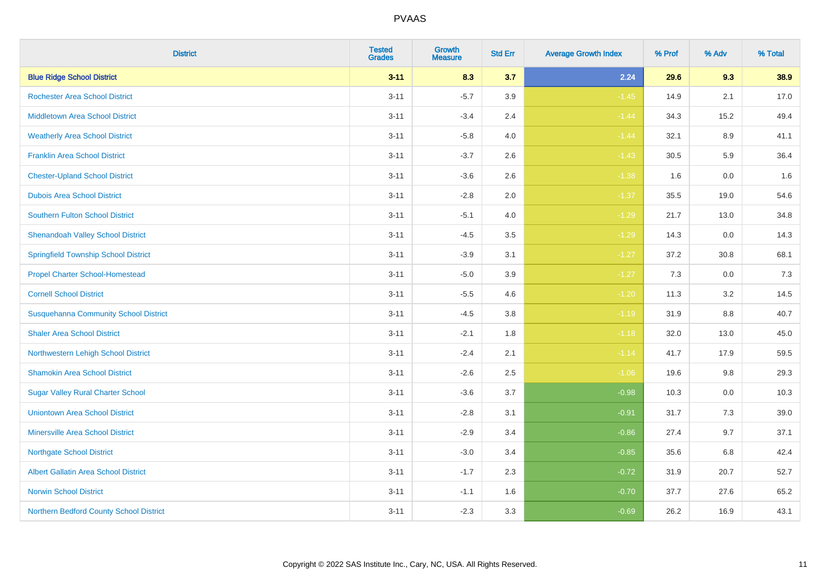| <b>District</b>                              | <b>Tested</b><br><b>Grades</b> | Growth<br><b>Measure</b> | <b>Std Err</b> | <b>Average Growth Index</b> | % Prof | % Adv   | % Total |
|----------------------------------------------|--------------------------------|--------------------------|----------------|-----------------------------|--------|---------|---------|
| <b>Blue Ridge School District</b>            | $3 - 11$                       | 8.3                      | 3.7            | 2.24                        | 29.6   | 9.3     | 38.9    |
| <b>Rochester Area School District</b>        | $3 - 11$                       | $-5.7$                   | 3.9            | $-1.45$                     | 14.9   | 2.1     | 17.0    |
| <b>Middletown Area School District</b>       | $3 - 11$                       | $-3.4$                   | 2.4            | $-1.44$                     | 34.3   | 15.2    | 49.4    |
| <b>Weatherly Area School District</b>        | $3 - 11$                       | $-5.8$                   | 4.0            | $-1.44$                     | 32.1   | $8.9\,$ | 41.1    |
| <b>Franklin Area School District</b>         | $3 - 11$                       | $-3.7$                   | 2.6            | $-1.43$                     | 30.5   | 5.9     | 36.4    |
| <b>Chester-Upland School District</b>        | $3 - 11$                       | $-3.6$                   | 2.6            | $-1.38$                     | 1.6    | 0.0     | 1.6     |
| <b>Dubois Area School District</b>           | $3 - 11$                       | $-2.8$                   | 2.0            | $-1.37$                     | 35.5   | 19.0    | 54.6    |
| <b>Southern Fulton School District</b>       | $3 - 11$                       | $-5.1$                   | 4.0            | $-1.29$                     | 21.7   | 13.0    | 34.8    |
| <b>Shenandoah Valley School District</b>     | $3 - 11$                       | $-4.5$                   | 3.5            | $-1.29$                     | 14.3   | 0.0     | 14.3    |
| <b>Springfield Township School District</b>  | $3 - 11$                       | $-3.9$                   | 3.1            | $-1.27$                     | 37.2   | 30.8    | 68.1    |
| <b>Propel Charter School-Homestead</b>       | $3 - 11$                       | $-5.0$                   | 3.9            | $-1.27$                     | 7.3    | 0.0     | 7.3     |
| <b>Cornell School District</b>               | $3 - 11$                       | $-5.5$                   | 4.6            | $-1.20$                     | 11.3   | 3.2     | 14.5    |
| <b>Susquehanna Community School District</b> | $3 - 11$                       | $-4.5$                   | 3.8            | $-1.19$                     | 31.9   | $8.8\,$ | 40.7    |
| <b>Shaler Area School District</b>           | $3 - 11$                       | $-2.1$                   | 1.8            | $-1.18$                     | 32.0   | 13.0    | 45.0    |
| Northwestern Lehigh School District          | $3 - 11$                       | $-2.4$                   | 2.1            | $-1.14$                     | 41.7   | 17.9    | 59.5    |
| <b>Shamokin Area School District</b>         | $3 - 11$                       | $-2.6$                   | 2.5            | $-1.06$                     | 19.6   | 9.8     | 29.3    |
| <b>Sugar Valley Rural Charter School</b>     | $3 - 11$                       | $-3.6$                   | 3.7            | $-0.98$                     | 10.3   | 0.0     | 10.3    |
| <b>Uniontown Area School District</b>        | $3 - 11$                       | $-2.8$                   | 3.1            | $-0.91$                     | 31.7   | 7.3     | 39.0    |
| <b>Minersville Area School District</b>      | $3 - 11$                       | $-2.9$                   | 3.4            | $-0.86$                     | 27.4   | 9.7     | 37.1    |
| <b>Northgate School District</b>             | $3 - 11$                       | $-3.0$                   | 3.4            | $-0.85$                     | 35.6   | 6.8     | 42.4    |
| Albert Gallatin Area School District         | $3 - 11$                       | $-1.7$                   | 2.3            | $-0.72$                     | 31.9   | 20.7    | 52.7    |
| <b>Norwin School District</b>                | $3 - 11$                       | $-1.1$                   | 1.6            | $-0.70$                     | 37.7   | 27.6    | 65.2    |
| Northern Bedford County School District      | $3 - 11$                       | $-2.3$                   | 3.3            | $-0.69$                     | 26.2   | 16.9    | 43.1    |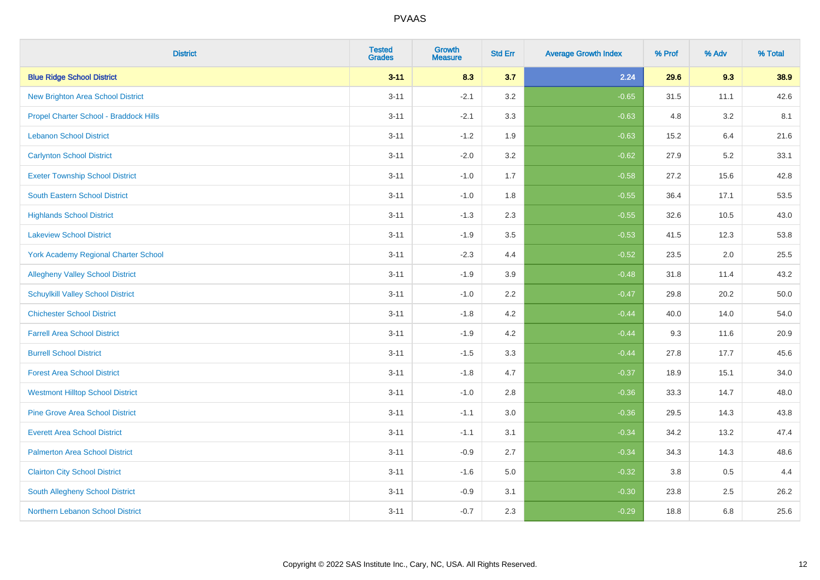| <b>District</b>                             | <b>Tested</b><br><b>Grades</b> | <b>Growth</b><br><b>Measure</b> | <b>Std Err</b> | <b>Average Growth Index</b> | % Prof | % Adv | % Total |
|---------------------------------------------|--------------------------------|---------------------------------|----------------|-----------------------------|--------|-------|---------|
| <b>Blue Ridge School District</b>           | $3 - 11$                       | 8.3                             | 3.7            | 2.24                        | 29.6   | 9.3   | 38.9    |
| <b>New Brighton Area School District</b>    | $3 - 11$                       | $-2.1$                          | 3.2            | $-0.65$                     | 31.5   | 11.1  | 42.6    |
| Propel Charter School - Braddock Hills      | $3 - 11$                       | $-2.1$                          | 3.3            | $-0.63$                     | 4.8    | 3.2   | 8.1     |
| <b>Lebanon School District</b>              | $3 - 11$                       | $-1.2$                          | 1.9            | $-0.63$                     | 15.2   | 6.4   | 21.6    |
| <b>Carlynton School District</b>            | $3 - 11$                       | $-2.0$                          | 3.2            | $-0.62$                     | 27.9   | 5.2   | 33.1    |
| <b>Exeter Township School District</b>      | $3 - 11$                       | $-1.0$                          | 1.7            | $-0.58$                     | 27.2   | 15.6  | 42.8    |
| South Eastern School District               | $3 - 11$                       | $-1.0$                          | 1.8            | $-0.55$                     | 36.4   | 17.1  | 53.5    |
| <b>Highlands School District</b>            | $3 - 11$                       | $-1.3$                          | 2.3            | $-0.55$                     | 32.6   | 10.5  | 43.0    |
| <b>Lakeview School District</b>             | $3 - 11$                       | $-1.9$                          | 3.5            | $-0.53$                     | 41.5   | 12.3  | 53.8    |
| <b>York Academy Regional Charter School</b> | $3 - 11$                       | $-2.3$                          | 4.4            | $-0.52$                     | 23.5   | 2.0   | 25.5    |
| <b>Allegheny Valley School District</b>     | $3 - 11$                       | $-1.9$                          | 3.9            | $-0.48$                     | 31.8   | 11.4  | 43.2    |
| <b>Schuylkill Valley School District</b>    | $3 - 11$                       | $-1.0$                          | 2.2            | $-0.47$                     | 29.8   | 20.2  | 50.0    |
| <b>Chichester School District</b>           | $3 - 11$                       | $-1.8$                          | 4.2            | $-0.44$                     | 40.0   | 14.0  | 54.0    |
| <b>Farrell Area School District</b>         | $3 - 11$                       | $-1.9$                          | 4.2            | $-0.44$                     | 9.3    | 11.6  | 20.9    |
| <b>Burrell School District</b>              | $3 - 11$                       | $-1.5$                          | 3.3            | $-0.44$                     | 27.8   | 17.7  | 45.6    |
| <b>Forest Area School District</b>          | $3 - 11$                       | $-1.8$                          | 4.7            | $-0.37$                     | 18.9   | 15.1  | 34.0    |
| <b>Westmont Hilltop School District</b>     | $3 - 11$                       | $-1.0$                          | 2.8            | $-0.36$                     | 33.3   | 14.7  | 48.0    |
| <b>Pine Grove Area School District</b>      | $3 - 11$                       | $-1.1$                          | 3.0            | $-0.36$                     | 29.5   | 14.3  | 43.8    |
| <b>Everett Area School District</b>         | $3 - 11$                       | $-1.1$                          | 3.1            | $-0.34$                     | 34.2   | 13.2  | 47.4    |
| <b>Palmerton Area School District</b>       | $3 - 11$                       | $-0.9$                          | 2.7            | $-0.34$                     | 34.3   | 14.3  | 48.6    |
| <b>Clairton City School District</b>        | $3 - 11$                       | $-1.6$                          | 5.0            | $-0.32$                     | 3.8    | 0.5   | 4.4     |
| South Allegheny School District             | $3 - 11$                       | $-0.9$                          | 3.1            | $-0.30$                     | 23.8   | 2.5   | 26.2    |
| Northern Lebanon School District            | $3 - 11$                       | $-0.7$                          | 2.3            | $-0.29$                     | 18.8   | 6.8   | 25.6    |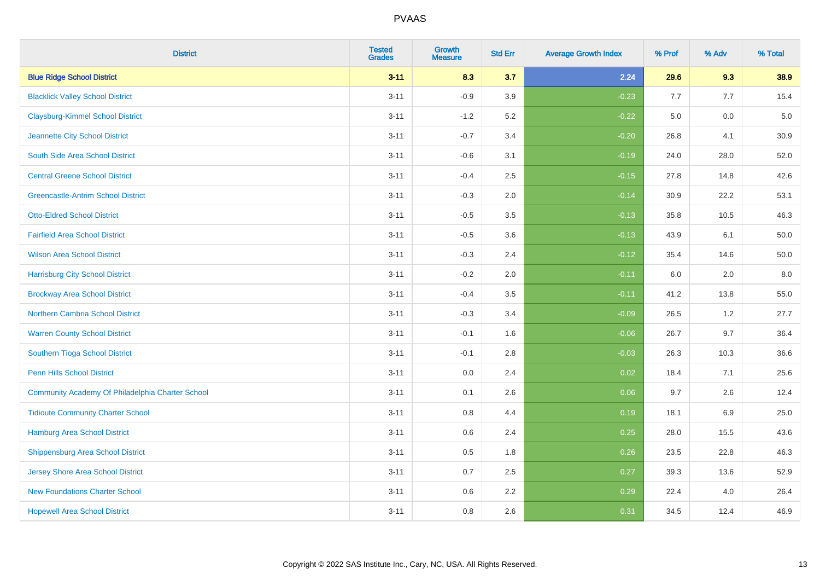| <b>District</b>                                  | <b>Tested</b><br><b>Grades</b> | Growth<br><b>Measure</b> | <b>Std Err</b> | <b>Average Growth Index</b> | % Prof | % Adv | % Total |
|--------------------------------------------------|--------------------------------|--------------------------|----------------|-----------------------------|--------|-------|---------|
| <b>Blue Ridge School District</b>                | $3 - 11$                       | 8.3                      | 3.7            | 2.24                        | 29.6   | 9.3   | 38.9    |
| <b>Blacklick Valley School District</b>          | $3 - 11$                       | $-0.9$                   | 3.9            | $-0.23$                     | 7.7    | 7.7   | 15.4    |
| <b>Claysburg-Kimmel School District</b>          | $3 - 11$                       | $-1.2$                   | 5.2            | $-0.22$                     | 5.0    | 0.0   | $5.0$   |
| Jeannette City School District                   | $3 - 11$                       | $-0.7$                   | 3.4            | $-0.20$                     | 26.8   | 4.1   | 30.9    |
| South Side Area School District                  | $3 - 11$                       | $-0.6$                   | 3.1            | $-0.19$                     | 24.0   | 28.0  | 52.0    |
| <b>Central Greene School District</b>            | $3 - 11$                       | $-0.4$                   | 2.5            | $-0.15$                     | 27.8   | 14.8  | 42.6    |
| <b>Greencastle-Antrim School District</b>        | $3 - 11$                       | $-0.3$                   | 2.0            | $-0.14$                     | 30.9   | 22.2  | 53.1    |
| <b>Otto-Eldred School District</b>               | $3 - 11$                       | $-0.5$                   | 3.5            | $-0.13$                     | 35.8   | 10.5  | 46.3    |
| <b>Fairfield Area School District</b>            | $3 - 11$                       | $-0.5$                   | 3.6            | $-0.13$                     | 43.9   | 6.1   | 50.0    |
| <b>Wilson Area School District</b>               | $3 - 11$                       | $-0.3$                   | 2.4            | $-0.12$                     | 35.4   | 14.6  | 50.0    |
| <b>Harrisburg City School District</b>           | $3 - 11$                       | $-0.2$                   | 2.0            | $-0.11$                     | 6.0    | 2.0   | $8.0\,$ |
| <b>Brockway Area School District</b>             | $3 - 11$                       | $-0.4$                   | 3.5            | $-0.11$                     | 41.2   | 13.8  | 55.0    |
| <b>Northern Cambria School District</b>          | $3 - 11$                       | $-0.3$                   | 3.4            | $-0.09$                     | 26.5   | 1.2   | 27.7    |
| <b>Warren County School District</b>             | $3 - 11$                       | $-0.1$                   | 1.6            | $-0.06$                     | 26.7   | 9.7   | 36.4    |
| Southern Tioga School District                   | $3 - 11$                       | $-0.1$                   | 2.8            | $-0.03$                     | 26.3   | 10.3  | 36.6    |
| <b>Penn Hills School District</b>                | $3 - 11$                       | 0.0                      | 2.4            | 0.02                        | 18.4   | 7.1   | 25.6    |
| Community Academy Of Philadelphia Charter School | $3 - 11$                       | 0.1                      | 2.6            | 0.06                        | 9.7    | 2.6   | 12.4    |
| <b>Tidioute Community Charter School</b>         | $3 - 11$                       | 0.8                      | 4.4            | 0.19                        | 18.1   | 6.9   | 25.0    |
| Hamburg Area School District                     | $3 - 11$                       | 0.6                      | 2.4            | 0.25                        | 28.0   | 15.5  | 43.6    |
| <b>Shippensburg Area School District</b>         | $3 - 11$                       | 0.5                      | 1.8            | 0.26                        | 23.5   | 22.8  | 46.3    |
| <b>Jersey Shore Area School District</b>         | $3 - 11$                       | 0.7                      | 2.5            | 0.27                        | 39.3   | 13.6  | 52.9    |
| <b>New Foundations Charter School</b>            | $3 - 11$                       | 0.6                      | 2.2            | 0.29                        | 22.4   | 4.0   | 26.4    |
| <b>Hopewell Area School District</b>             | $3 - 11$                       | 0.8                      | 2.6            | 0.31                        | 34.5   | 12.4  | 46.9    |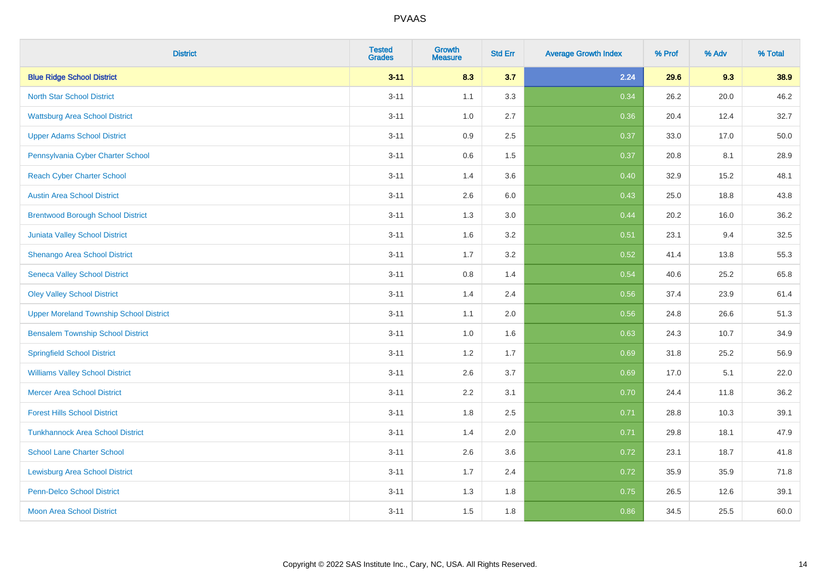| <b>District</b>                                | <b>Tested</b><br><b>Grades</b> | Growth<br><b>Measure</b> | <b>Std Err</b> | <b>Average Growth Index</b> | % Prof | % Adv | % Total |
|------------------------------------------------|--------------------------------|--------------------------|----------------|-----------------------------|--------|-------|---------|
| <b>Blue Ridge School District</b>              | $3 - 11$                       | 8.3                      | 3.7            | 2.24                        | 29.6   | 9.3   | 38.9    |
| <b>North Star School District</b>              | $3 - 11$                       | 1.1                      | 3.3            | 0.34                        | 26.2   | 20.0  | 46.2    |
| <b>Wattsburg Area School District</b>          | $3 - 11$                       | 1.0                      | 2.7            | 0.36                        | 20.4   | 12.4  | 32.7    |
| <b>Upper Adams School District</b>             | $3 - 11$                       | 0.9                      | 2.5            | 0.37                        | 33.0   | 17.0  | 50.0    |
| Pennsylvania Cyber Charter School              | $3 - 11$                       | 0.6                      | 1.5            | 0.37                        | 20.8   | 8.1   | 28.9    |
| <b>Reach Cyber Charter School</b>              | $3 - 11$                       | 1.4                      | 3.6            | 0.40                        | 32.9   | 15.2  | 48.1    |
| <b>Austin Area School District</b>             | $3 - 11$                       | 2.6                      | 6.0            | 0.43                        | 25.0   | 18.8  | 43.8    |
| <b>Brentwood Borough School District</b>       | $3 - 11$                       | 1.3                      | 3.0            | 0.44                        | 20.2   | 16.0  | 36.2    |
| Juniata Valley School District                 | $3 - 11$                       | 1.6                      | 3.2            | 0.51                        | 23.1   | 9.4   | 32.5    |
| Shenango Area School District                  | $3 - 11$                       | 1.7                      | 3.2            | 0.52                        | 41.4   | 13.8  | 55.3    |
| <b>Seneca Valley School District</b>           | $3 - 11$                       | 0.8                      | 1.4            | 0.54                        | 40.6   | 25.2  | 65.8    |
| <b>Oley Valley School District</b>             | $3 - 11$                       | 1.4                      | 2.4            | 0.56                        | 37.4   | 23.9  | 61.4    |
| <b>Upper Moreland Township School District</b> | $3 - 11$                       | 1.1                      | 2.0            | 0.56                        | 24.8   | 26.6  | 51.3    |
| <b>Bensalem Township School District</b>       | $3 - 11$                       | 1.0                      | 1.6            | 0.63                        | 24.3   | 10.7  | 34.9    |
| <b>Springfield School District</b>             | $3 - 11$                       | 1.2                      | 1.7            | 0.69                        | 31.8   | 25.2  | 56.9    |
| <b>Williams Valley School District</b>         | $3 - 11$                       | 2.6                      | 3.7            | 0.69                        | 17.0   | 5.1   | 22.0    |
| <b>Mercer Area School District</b>             | $3 - 11$                       | 2.2                      | 3.1            | 0.70                        | 24.4   | 11.8  | 36.2    |
| <b>Forest Hills School District</b>            | $3 - 11$                       | 1.8                      | 2.5            | 0.71                        | 28.8   | 10.3  | 39.1    |
| <b>Tunkhannock Area School District</b>        | $3 - 11$                       | 1.4                      | 2.0            | 0.71                        | 29.8   | 18.1  | 47.9    |
| <b>School Lane Charter School</b>              | $3 - 11$                       | 2.6                      | 3.6            | 0.72                        | 23.1   | 18.7  | 41.8    |
| <b>Lewisburg Area School District</b>          | $3 - 11$                       | 1.7                      | 2.4            | 0.72                        | 35.9   | 35.9  | 71.8    |
| <b>Penn-Delco School District</b>              | $3 - 11$                       | 1.3                      | 1.8            | 0.75                        | 26.5   | 12.6  | 39.1    |
| <b>Moon Area School District</b>               | $3 - 11$                       | 1.5                      | 1.8            | 0.86                        | 34.5   | 25.5  | 60.0    |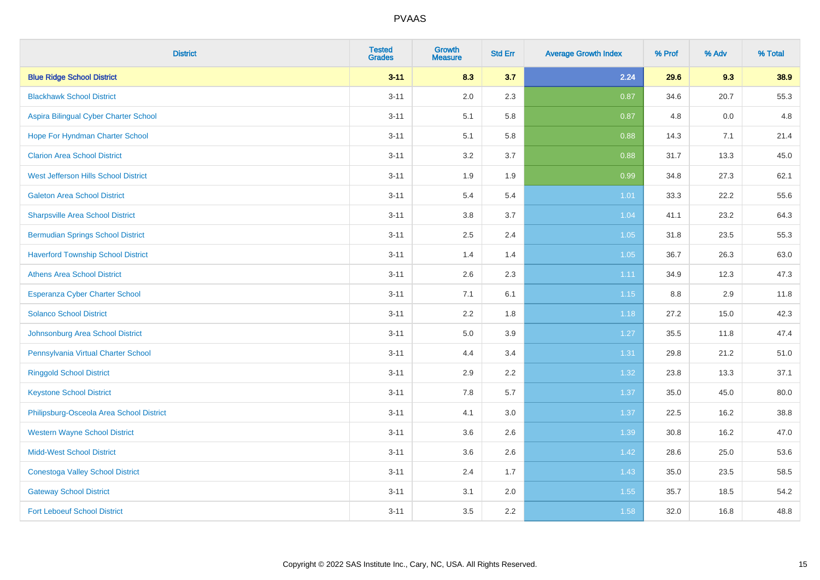| <b>District</b>                           | <b>Tested</b><br><b>Grades</b> | <b>Growth</b><br><b>Measure</b> | <b>Std Err</b> | <b>Average Growth Index</b> | % Prof | % Adv | % Total |
|-------------------------------------------|--------------------------------|---------------------------------|----------------|-----------------------------|--------|-------|---------|
| <b>Blue Ridge School District</b>         | $3 - 11$                       | 8.3                             | 3.7            | 2.24                        | 29.6   | 9.3   | 38.9    |
| <b>Blackhawk School District</b>          | $3 - 11$                       | 2.0                             | 2.3            | 0.87                        | 34.6   | 20.7  | 55.3    |
| Aspira Bilingual Cyber Charter School     | $3 - 11$                       | 5.1                             | 5.8            | 0.87                        | 4.8    | 0.0   | 4.8     |
| Hope For Hyndman Charter School           | $3 - 11$                       | 5.1                             | 5.8            | 0.88                        | 14.3   | 7.1   | 21.4    |
| <b>Clarion Area School District</b>       | $3 - 11$                       | 3.2                             | 3.7            | 0.88                        | 31.7   | 13.3  | 45.0    |
| West Jefferson Hills School District      | $3 - 11$                       | 1.9                             | 1.9            | 0.99                        | 34.8   | 27.3  | 62.1    |
| <b>Galeton Area School District</b>       | $3 - 11$                       | 5.4                             | 5.4            | 1.01                        | 33.3   | 22.2  | 55.6    |
| <b>Sharpsville Area School District</b>   | $3 - 11$                       | 3.8                             | 3.7            | 1.04                        | 41.1   | 23.2  | 64.3    |
| <b>Bermudian Springs School District</b>  | $3 - 11$                       | 2.5                             | 2.4            | 1.05                        | 31.8   | 23.5  | 55.3    |
| <b>Haverford Township School District</b> | $3 - 11$                       | 1.4                             | 1.4            | 1.05                        | 36.7   | 26.3  | 63.0    |
| <b>Athens Area School District</b>        | $3 - 11$                       | 2.6                             | 2.3            | 1.11                        | 34.9   | 12.3  | 47.3    |
| <b>Esperanza Cyber Charter School</b>     | $3 - 11$                       | 7.1                             | 6.1            | $1.15$                      | 8.8    | 2.9   | 11.8    |
| <b>Solanco School District</b>            | $3 - 11$                       | 2.2                             | 1.8            | 1.18                        | 27.2   | 15.0  | 42.3    |
| Johnsonburg Area School District          | $3 - 11$                       | 5.0                             | 3.9            | 1.27                        | 35.5   | 11.8  | 47.4    |
| Pennsylvania Virtual Charter School       | $3 - 11$                       | 4.4                             | 3.4            | 1.31                        | 29.8   | 21.2  | 51.0    |
| <b>Ringgold School District</b>           | $3 - 11$                       | 2.9                             | 2.2            | 1.32                        | 23.8   | 13.3  | 37.1    |
| <b>Keystone School District</b>           | $3 - 11$                       | 7.8                             | 5.7            | 1.37                        | 35.0   | 45.0  | 80.0    |
| Philipsburg-Osceola Area School District  | $3 - 11$                       | 4.1                             | 3.0            | 1.37                        | 22.5   | 16.2  | 38.8    |
| <b>Western Wayne School District</b>      | $3 - 11$                       | 3.6                             | 2.6            | 1.39                        | 30.8   | 16.2  | 47.0    |
| <b>Midd-West School District</b>          | $3 - 11$                       | 3.6                             | 2.6            | 1.42                        | 28.6   | 25.0  | 53.6    |
| <b>Conestoga Valley School District</b>   | $3 - 11$                       | 2.4                             | 1.7            | 1.43                        | 35.0   | 23.5  | 58.5    |
| <b>Gateway School District</b>            | $3 - 11$                       | 3.1                             | 2.0            | 1.55                        | 35.7   | 18.5  | 54.2    |
| <b>Fort Leboeuf School District</b>       | $3 - 11$                       | 3.5                             | 2.2            | 1.58                        | 32.0   | 16.8  | 48.8    |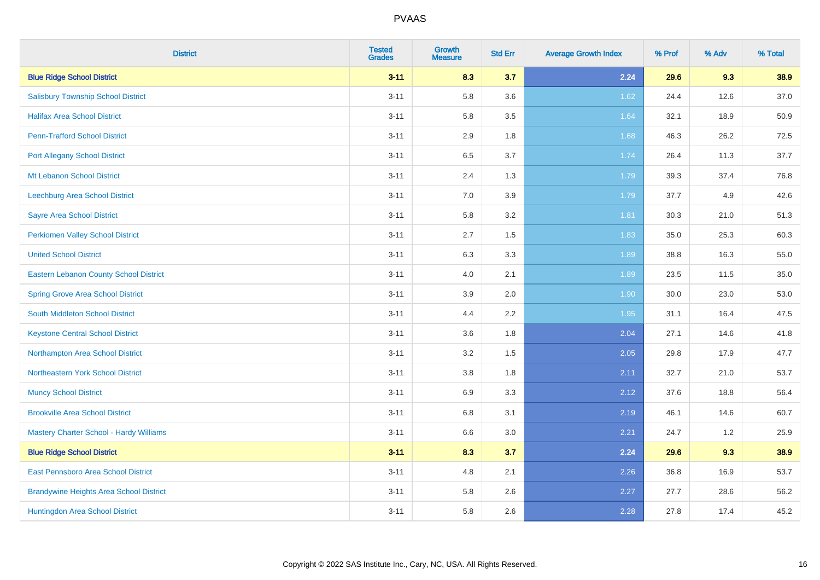| <b>District</b>                                | <b>Tested</b><br><b>Grades</b> | <b>Growth</b><br><b>Measure</b> | <b>Std Err</b> | <b>Average Growth Index</b> | % Prof | % Adv | % Total |
|------------------------------------------------|--------------------------------|---------------------------------|----------------|-----------------------------|--------|-------|---------|
| <b>Blue Ridge School District</b>              | $3 - 11$                       | 8.3                             | 3.7            | 2.24                        | 29.6   | 9.3   | 38.9    |
| <b>Salisbury Township School District</b>      | $3 - 11$                       | 5.8                             | 3.6            | 1.62                        | 24.4   | 12.6  | 37.0    |
| <b>Halifax Area School District</b>            | $3 - 11$                       | 5.8                             | 3.5            | 1.64                        | 32.1   | 18.9  | 50.9    |
| <b>Penn-Trafford School District</b>           | $3 - 11$                       | 2.9                             | 1.8            | 1.68                        | 46.3   | 26.2  | 72.5    |
| <b>Port Allegany School District</b>           | $3 - 11$                       | 6.5                             | 3.7            | 1.74                        | 26.4   | 11.3  | 37.7    |
| <b>Mt Lebanon School District</b>              | $3 - 11$                       | 2.4                             | 1.3            | 1.79                        | 39.3   | 37.4  | 76.8    |
| Leechburg Area School District                 | $3 - 11$                       | 7.0                             | 3.9            | 1.79                        | 37.7   | 4.9   | 42.6    |
| <b>Sayre Area School District</b>              | $3 - 11$                       | 5.8                             | 3.2            | 1.81                        | 30.3   | 21.0  | 51.3    |
| Perkiomen Valley School District               | $3 - 11$                       | 2.7                             | 1.5            | 1.83                        | 35.0   | 25.3  | 60.3    |
| <b>United School District</b>                  | $3 - 11$                       | 6.3                             | 3.3            | 1.89                        | 38.8   | 16.3  | 55.0    |
| Eastern Lebanon County School District         | $3 - 11$                       | 4.0                             | 2.1            | 1.89                        | 23.5   | 11.5  | 35.0    |
| <b>Spring Grove Area School District</b>       | $3 - 11$                       | 3.9                             | 2.0            | 1.90                        | 30.0   | 23.0  | 53.0    |
| South Middleton School District                | $3 - 11$                       | 4.4                             | 2.2            | 1.95                        | 31.1   | 16.4  | 47.5    |
| <b>Keystone Central School District</b>        | $3 - 11$                       | 3.6                             | 1.8            | 2.04                        | 27.1   | 14.6  | 41.8    |
| Northampton Area School District               | $3 - 11$                       | 3.2                             | 1.5            | 2.05                        | 29.8   | 17.9  | 47.7    |
| Northeastern York School District              | $3 - 11$                       | $3.8\,$                         | 1.8            | 2.11                        | 32.7   | 21.0  | 53.7    |
| <b>Muncy School District</b>                   | $3 - 11$                       | 6.9                             | 3.3            | 2.12                        | 37.6   | 18.8  | 56.4    |
| <b>Brookville Area School District</b>         | $3 - 11$                       | 6.8                             | 3.1            | 2.19                        | 46.1   | 14.6  | 60.7    |
| <b>Mastery Charter School - Hardy Williams</b> | $3 - 11$                       | $6.6\,$                         | 3.0            | 2.21                        | 24.7   | 1.2   | 25.9    |
| <b>Blue Ridge School District</b>              | $3 - 11$                       | 8.3                             | 3.7            | 2.24                        | 29.6   | 9.3   | 38.9    |
| East Pennsboro Area School District            | $3 - 11$                       | 4.8                             | 2.1            | 2.26                        | 36.8   | 16.9  | 53.7    |
| <b>Brandywine Heights Area School District</b> | $3 - 11$                       | 5.8                             | 2.6            | 2.27                        | 27.7   | 28.6  | 56.2    |
| Huntingdon Area School District                | $3 - 11$                       | 5.8                             | 2.6            | 2.28                        | 27.8   | 17.4  | 45.2    |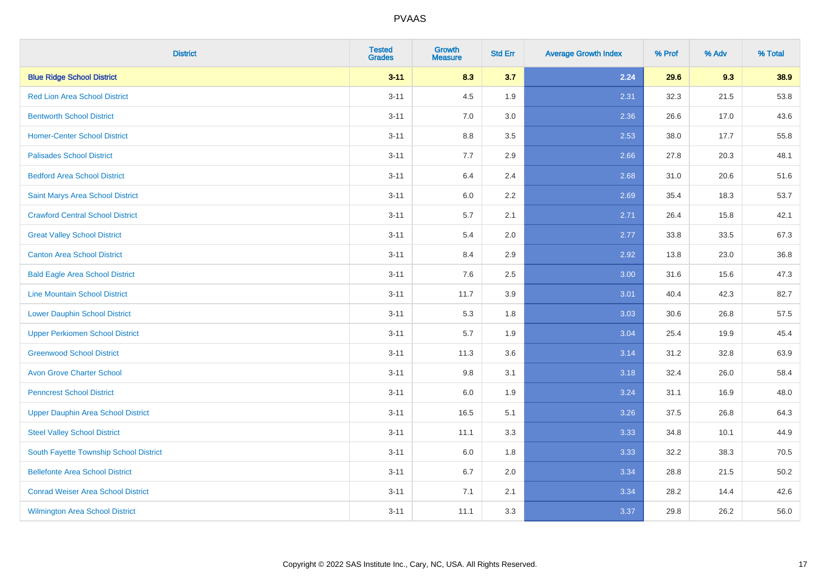| <b>District</b>                           | <b>Tested</b><br><b>Grades</b> | <b>Growth</b><br><b>Measure</b> | <b>Std Err</b> | <b>Average Growth Index</b> | % Prof | % Adv | % Total |
|-------------------------------------------|--------------------------------|---------------------------------|----------------|-----------------------------|--------|-------|---------|
| <b>Blue Ridge School District</b>         | $3 - 11$                       | 8.3                             | 3.7            | 2.24                        | 29.6   | 9.3   | 38.9    |
| <b>Red Lion Area School District</b>      | $3 - 11$                       | 4.5                             | 1.9            | 2.31                        | 32.3   | 21.5  | 53.8    |
| <b>Bentworth School District</b>          | $3 - 11$                       | 7.0                             | 3.0            | 2.36                        | 26.6   | 17.0  | 43.6    |
| <b>Homer-Center School District</b>       | $3 - 11$                       | 8.8                             | 3.5            | 2.53                        | 38.0   | 17.7  | 55.8    |
| <b>Palisades School District</b>          | $3 - 11$                       | 7.7                             | 2.9            | 2.66                        | 27.8   | 20.3  | 48.1    |
| <b>Bedford Area School District</b>       | $3 - 11$                       | 6.4                             | 2.4            | 2.68                        | 31.0   | 20.6  | 51.6    |
| Saint Marys Area School District          | $3 - 11$                       | 6.0                             | 2.2            | 2.69                        | 35.4   | 18.3  | 53.7    |
| <b>Crawford Central School District</b>   | $3 - 11$                       | 5.7                             | 2.1            | 2.71                        | 26.4   | 15.8  | 42.1    |
| <b>Great Valley School District</b>       | $3 - 11$                       | 5.4                             | 2.0            | 2.77                        | 33.8   | 33.5  | 67.3    |
| <b>Canton Area School District</b>        | $3 - 11$                       | 8.4                             | 2.9            | 2.92                        | 13.8   | 23.0  | 36.8    |
| <b>Bald Eagle Area School District</b>    | $3 - 11$                       | 7.6                             | 2.5            | 3.00                        | 31.6   | 15.6  | 47.3    |
| <b>Line Mountain School District</b>      | $3 - 11$                       | 11.7                            | 3.9            | 3.01                        | 40.4   | 42.3  | 82.7    |
| <b>Lower Dauphin School District</b>      | $3 - 11$                       | 5.3                             | 1.8            | 3.03                        | 30.6   | 26.8  | 57.5    |
| <b>Upper Perkiomen School District</b>    | $3 - 11$                       | 5.7                             | 1.9            | 3.04                        | 25.4   | 19.9  | 45.4    |
| <b>Greenwood School District</b>          | $3 - 11$                       | 11.3                            | 3.6            | 3.14                        | 31.2   | 32.8  | 63.9    |
| <b>Avon Grove Charter School</b>          | $3 - 11$                       | 9.8                             | 3.1            | 3.18                        | 32.4   | 26.0  | 58.4    |
| <b>Penncrest School District</b>          | $3 - 11$                       | 6.0                             | 1.9            | 3.24                        | 31.1   | 16.9  | 48.0    |
| <b>Upper Dauphin Area School District</b> | $3 - 11$                       | 16.5                            | 5.1            | 3.26                        | 37.5   | 26.8  | 64.3    |
| <b>Steel Valley School District</b>       | $3 - 11$                       | 11.1                            | 3.3            | 3.33                        | 34.8   | 10.1  | 44.9    |
| South Fayette Township School District    | $3 - 11$                       | 6.0                             | 1.8            | 3.33                        | 32.2   | 38.3  | 70.5    |
| <b>Bellefonte Area School District</b>    | $3 - 11$                       | 6.7                             | 2.0            | 3.34                        | 28.8   | 21.5  | 50.2    |
| <b>Conrad Weiser Area School District</b> | $3 - 11$                       | 7.1                             | 2.1            | 3.34                        | 28.2   | 14.4  | 42.6    |
| <b>Wilmington Area School District</b>    | $3 - 11$                       | 11.1                            | 3.3            | 3.37                        | 29.8   | 26.2  | 56.0    |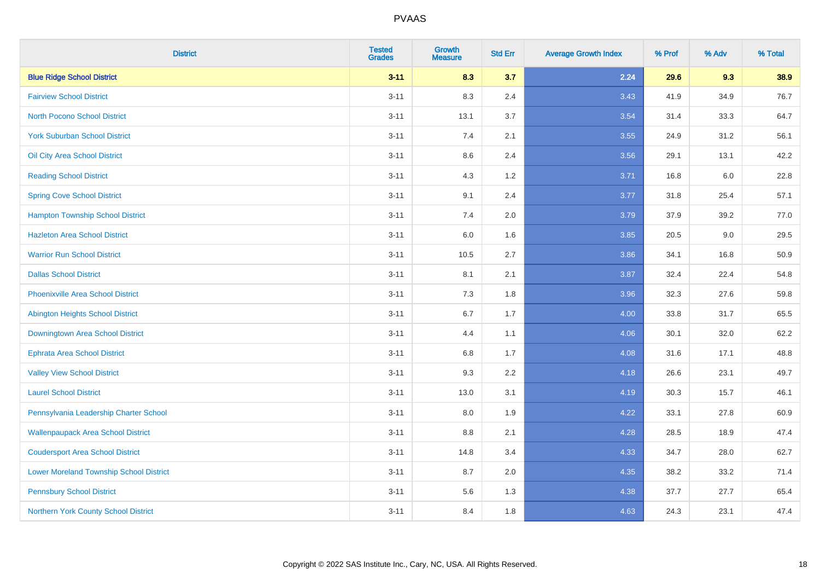| <b>District</b>                                | <b>Tested</b><br><b>Grades</b> | Growth<br><b>Measure</b> | <b>Std Err</b> | <b>Average Growth Index</b> | % Prof | % Adv   | % Total |
|------------------------------------------------|--------------------------------|--------------------------|----------------|-----------------------------|--------|---------|---------|
| <b>Blue Ridge School District</b>              | $3 - 11$                       | 8.3                      | 3.7            | 2.24                        | 29.6   | 9.3     | 38.9    |
| <b>Fairview School District</b>                | $3 - 11$                       | 8.3                      | 2.4            | 3.43                        | 41.9   | 34.9    | 76.7    |
| <b>North Pocono School District</b>            | $3 - 11$                       | 13.1                     | 3.7            | 3.54                        | 31.4   | 33.3    | 64.7    |
| <b>York Suburban School District</b>           | $3 - 11$                       | 7.4                      | 2.1            | 3.55                        | 24.9   | 31.2    | 56.1    |
| Oil City Area School District                  | $3 - 11$                       | 8.6                      | 2.4            | 3.56                        | 29.1   | 13.1    | 42.2    |
| <b>Reading School District</b>                 | $3 - 11$                       | 4.3                      | 1.2            | 3.71                        | 16.8   | $6.0\,$ | 22.8    |
| <b>Spring Cove School District</b>             | $3 - 11$                       | 9.1                      | 2.4            | 3.77                        | 31.8   | 25.4    | 57.1    |
| <b>Hampton Township School District</b>        | $3 - 11$                       | 7.4                      | 2.0            | 3.79                        | 37.9   | 39.2    | 77.0    |
| <b>Hazleton Area School District</b>           | $3 - 11$                       | 6.0                      | 1.6            | 3.85                        | 20.5   | 9.0     | 29.5    |
| <b>Warrior Run School District</b>             | $3 - 11$                       | 10.5                     | 2.7            | 3.86                        | 34.1   | 16.8    | 50.9    |
| <b>Dallas School District</b>                  | $3 - 11$                       | 8.1                      | 2.1            | 3.87                        | 32.4   | 22.4    | 54.8    |
| <b>Phoenixville Area School District</b>       | $3 - 11$                       | 7.3                      | 1.8            | 3.96                        | 32.3   | 27.6    | 59.8    |
| Abington Heights School District               | $3 - 11$                       | 6.7                      | 1.7            | 4.00                        | 33.8   | 31.7    | 65.5    |
| Downingtown Area School District               | $3 - 11$                       | 4.4                      | 1.1            | 4.06                        | 30.1   | 32.0    | 62.2    |
| <b>Ephrata Area School District</b>            | $3 - 11$                       | 6.8                      | 1.7            | 4.08                        | 31.6   | 17.1    | 48.8    |
| <b>Valley View School District</b>             | $3 - 11$                       | 9.3                      | 2.2            | 4.18                        | 26.6   | 23.1    | 49.7    |
| <b>Laurel School District</b>                  | $3 - 11$                       | 13.0                     | 3.1            | 4.19                        | 30.3   | 15.7    | 46.1    |
| Pennsylvania Leadership Charter School         | $3 - 11$                       | 8.0                      | 1.9            | 4.22                        | 33.1   | 27.8    | 60.9    |
| <b>Wallenpaupack Area School District</b>      | $3 - 11$                       | 8.8                      | 2.1            | 4.28                        | 28.5   | 18.9    | 47.4    |
| <b>Coudersport Area School District</b>        | $3 - 11$                       | 14.8                     | 3.4            | 4.33                        | 34.7   | 28.0    | 62.7    |
| <b>Lower Moreland Township School District</b> | $3 - 11$                       | 8.7                      | 2.0            | 4.35                        | 38.2   | 33.2    | 71.4    |
| <b>Pennsbury School District</b>               | $3 - 11$                       | 5.6                      | 1.3            | 4.38                        | 37.7   | 27.7    | 65.4    |
| Northern York County School District           | $3 - 11$                       | 8.4                      | 1.8            | 4.63                        | 24.3   | 23.1    | 47.4    |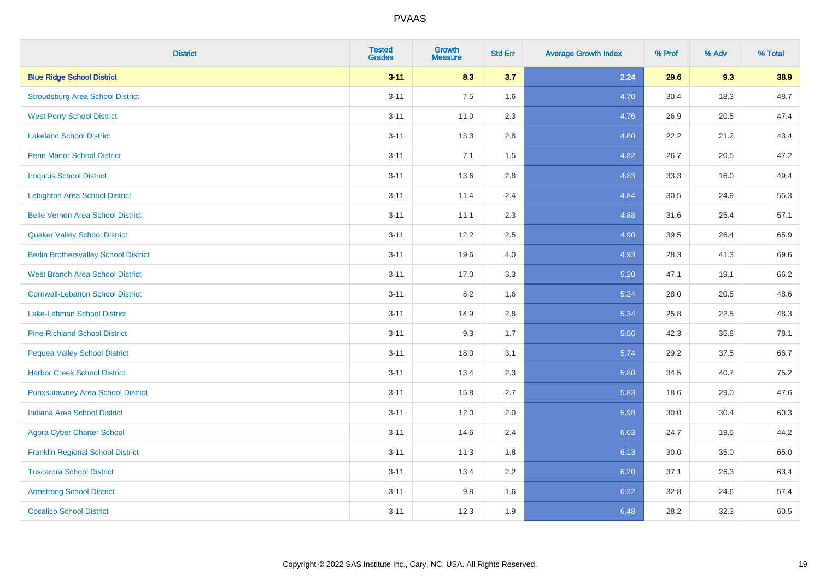| <b>District</b>                              | <b>Tested</b><br><b>Grades</b> | <b>Growth</b><br><b>Measure</b> | <b>Std Err</b> | <b>Average Growth Index</b> | % Prof | % Adv | % Total |
|----------------------------------------------|--------------------------------|---------------------------------|----------------|-----------------------------|--------|-------|---------|
| <b>Blue Ridge School District</b>            | $3 - 11$                       | 8.3                             | 3.7            | 2.24                        | 29.6   | 9.3   | 38.9    |
| <b>Stroudsburg Area School District</b>      | $3 - 11$                       | $7.5\,$                         | 1.6            | 4.70                        | 30.4   | 18.3  | 48.7    |
| <b>West Perry School District</b>            | $3 - 11$                       | 11.0                            | 2.3            | 4.76                        | 26.9   | 20.5  | 47.4    |
| <b>Lakeland School District</b>              | $3 - 11$                       | 13.3                            | 2.8            | 4.80                        | 22.2   | 21.2  | 43.4    |
| <b>Penn Manor School District</b>            | $3 - 11$                       | 7.1                             | 1.5            | 4.82                        | 26.7   | 20.5  | 47.2    |
| <b>Iroquois School District</b>              | $3 - 11$                       | 13.6                            | 2.8            | 4.83                        | 33.3   | 16.0  | 49.4    |
| <b>Lehighton Area School District</b>        | $3 - 11$                       | 11.4                            | 2.4            | 4.84                        | 30.5   | 24.9  | 55.3    |
| <b>Belle Vernon Area School District</b>     | $3 - 11$                       | 11.1                            | 2.3            | 4.88                        | 31.6   | 25.4  | 57.1    |
| <b>Quaker Valley School District</b>         | $3 - 11$                       | 12.2                            | 2.5            | 4.90                        | 39.5   | 26.4  | 65.9    |
| <b>Berlin Brothersvalley School District</b> | $3 - 11$                       | 19.6                            | 4.0            | 4.93                        | 28.3   | 41.3  | 69.6    |
| <b>West Branch Area School District</b>      | $3 - 11$                       | 17.0                            | 3.3            | 5.20                        | 47.1   | 19.1  | 66.2    |
| <b>Cornwall-Lebanon School District</b>      | $3 - 11$                       | 8.2                             | 1.6            | 5.24                        | 28.0   | 20.5  | 48.6    |
| Lake-Lehman School District                  | $3 - 11$                       | 14.9                            | 2.8            | 5.34                        | 25.8   | 22.5  | 48.3    |
| <b>Pine-Richland School District</b>         | $3 - 11$                       | 9.3                             | 1.7            | 5.56                        | 42.3   | 35.8  | 78.1    |
| <b>Pequea Valley School District</b>         | $3 - 11$                       | 18.0                            | 3.1            | 5.74                        | 29.2   | 37.5  | 66.7    |
| <b>Harbor Creek School District</b>          | $3 - 11$                       | 13.4                            | 2.3            | 5.80                        | 34.5   | 40.7  | 75.2    |
| <b>Punxsutawney Area School District</b>     | $3 - 11$                       | 15.8                            | 2.7            | 5.83                        | 18.6   | 29.0  | 47.6    |
| <b>Indiana Area School District</b>          | $3 - 11$                       | 12.0                            | 2.0            | 5.98                        | 30.0   | 30.4  | 60.3    |
| <b>Agora Cyber Charter School</b>            | $3 - 11$                       | 14.6                            | 2.4            | 6.03                        | 24.7   | 19.5  | 44.2    |
| <b>Franklin Regional School District</b>     | $3 - 11$                       | 11.3                            | 1.8            | 6.13                        | 30.0   | 35.0  | 65.0    |
| <b>Tuscarora School District</b>             | $3 - 11$                       | 13.4                            | 2.2            | 6.20                        | 37.1   | 26.3  | 63.4    |
| <b>Armstrong School District</b>             | $3 - 11$                       | $9.8\,$                         | 1.6            | 6.22                        | 32.8   | 24.6  | 57.4    |
| <b>Cocalico School District</b>              | $3 - 11$                       | 12.3                            | 1.9            | 6.48                        | 28.2   | 32.3  | 60.5    |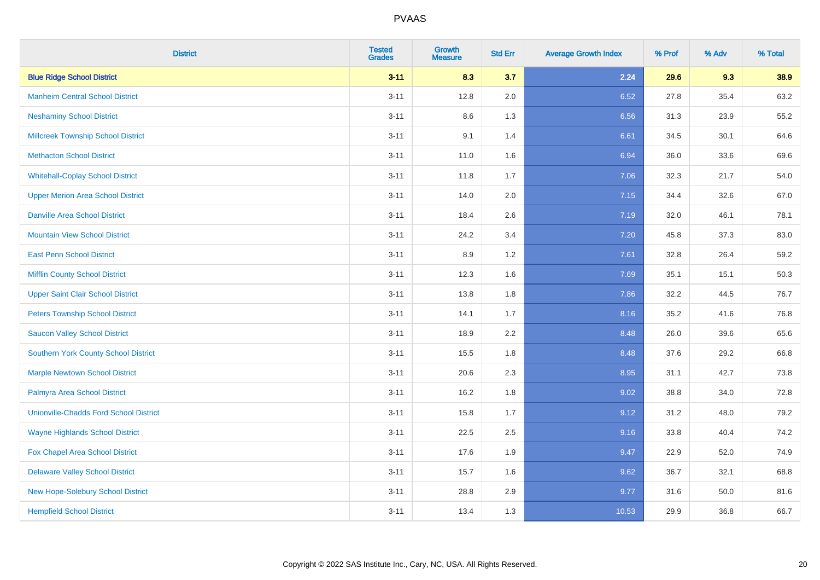| <b>District</b>                               | <b>Tested</b><br><b>Grades</b> | <b>Growth</b><br><b>Measure</b> | <b>Std Err</b> | <b>Average Growth Index</b> | % Prof | % Adv | % Total |
|-----------------------------------------------|--------------------------------|---------------------------------|----------------|-----------------------------|--------|-------|---------|
| <b>Blue Ridge School District</b>             | $3 - 11$                       | 8.3                             | 3.7            | 2.24                        | 29.6   | 9.3   | 38.9    |
| <b>Manheim Central School District</b>        | $3 - 11$                       | 12.8                            | 2.0            | 6.52                        | 27.8   | 35.4  | 63.2    |
| <b>Neshaminy School District</b>              | $3 - 11$                       | 8.6                             | 1.3            | 6.56                        | 31.3   | 23.9  | 55.2    |
| <b>Millcreek Township School District</b>     | $3 - 11$                       | 9.1                             | 1.4            | 6.61                        | 34.5   | 30.1  | 64.6    |
| <b>Methacton School District</b>              | $3 - 11$                       | 11.0                            | 1.6            | 6.94                        | 36.0   | 33.6  | 69.6    |
| <b>Whitehall-Coplay School District</b>       | $3 - 11$                       | 11.8                            | 1.7            | 7.06                        | 32.3   | 21.7  | 54.0    |
| <b>Upper Merion Area School District</b>      | $3 - 11$                       | 14.0                            | 2.0            | 7.15                        | 34.4   | 32.6  | 67.0    |
| <b>Danville Area School District</b>          | $3 - 11$                       | 18.4                            | 2.6            | 7.19                        | 32.0   | 46.1  | 78.1    |
| <b>Mountain View School District</b>          | $3 - 11$                       | 24.2                            | 3.4            | 7.20                        | 45.8   | 37.3  | 83.0    |
| <b>East Penn School District</b>              | $3 - 11$                       | 8.9                             | 1.2            | 7.61                        | 32.8   | 26.4  | 59.2    |
| <b>Mifflin County School District</b>         | $3 - 11$                       | 12.3                            | 1.6            | 7.69                        | 35.1   | 15.1  | 50.3    |
| <b>Upper Saint Clair School District</b>      | $3 - 11$                       | 13.8                            | 1.8            | 7.86                        | 32.2   | 44.5  | 76.7    |
| <b>Peters Township School District</b>        | $3 - 11$                       | 14.1                            | 1.7            | 8.16                        | 35.2   | 41.6  | 76.8    |
| <b>Saucon Valley School District</b>          | $3 - 11$                       | 18.9                            | 2.2            | 8.48                        | 26.0   | 39.6  | 65.6    |
| Southern York County School District          | $3 - 11$                       | 15.5                            | 1.8            | 8.48                        | 37.6   | 29.2  | 66.8    |
| <b>Marple Newtown School District</b>         | $3 - 11$                       | 20.6                            | 2.3            | 8.95                        | 31.1   | 42.7  | 73.8    |
| Palmyra Area School District                  | $3 - 11$                       | 16.2                            | 1.8            | 9.02                        | 38.8   | 34.0  | 72.8    |
| <b>Unionville-Chadds Ford School District</b> | $3 - 11$                       | 15.8                            | 1.7            | 9.12                        | 31.2   | 48.0  | 79.2    |
| <b>Wayne Highlands School District</b>        | $3 - 11$                       | 22.5                            | 2.5            | 9.16                        | 33.8   | 40.4  | 74.2    |
| Fox Chapel Area School District               | $3 - 11$                       | 17.6                            | 1.9            | 9.47                        | 22.9   | 52.0  | 74.9    |
| <b>Delaware Valley School District</b>        | $3 - 11$                       | 15.7                            | 1.6            | 9.62                        | 36.7   | 32.1  | 68.8    |
| New Hope-Solebury School District             | $3 - 11$                       | 28.8                            | 2.9            | 9.77                        | 31.6   | 50.0  | 81.6    |
| <b>Hempfield School District</b>              | $3 - 11$                       | 13.4                            | 1.3            | 10.53                       | 29.9   | 36.8  | 66.7    |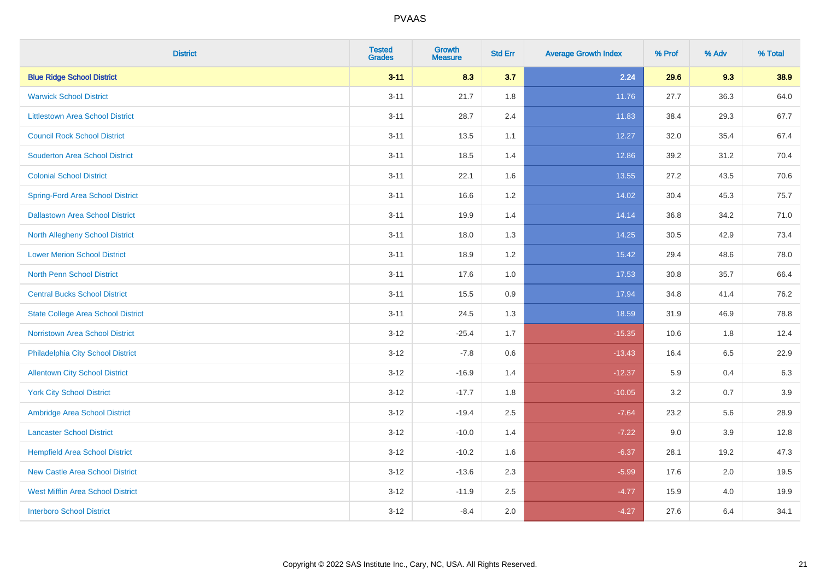| <b>District</b>                           | <b>Tested</b><br><b>Grades</b> | <b>Growth</b><br><b>Measure</b> | <b>Std Err</b> | <b>Average Growth Index</b> | % Prof | % Adv | % Total |
|-------------------------------------------|--------------------------------|---------------------------------|----------------|-----------------------------|--------|-------|---------|
| <b>Blue Ridge School District</b>         | $3 - 11$                       | 8.3                             | 3.7            | 2.24                        | 29.6   | 9.3   | 38.9    |
| <b>Warwick School District</b>            | $3 - 11$                       | 21.7                            | 1.8            | 11.76                       | 27.7   | 36.3  | 64.0    |
| <b>Littlestown Area School District</b>   | $3 - 11$                       | 28.7                            | 2.4            | 11.83                       | 38.4   | 29.3  | 67.7    |
| <b>Council Rock School District</b>       | $3 - 11$                       | 13.5                            | 1.1            | 12.27                       | 32.0   | 35.4  | 67.4    |
| <b>Souderton Area School District</b>     | $3 - 11$                       | 18.5                            | 1.4            | 12.86                       | 39.2   | 31.2  | 70.4    |
| <b>Colonial School District</b>           | $3 - 11$                       | 22.1                            | 1.6            | 13.55                       | 27.2   | 43.5  | 70.6    |
| <b>Spring-Ford Area School District</b>   | $3 - 11$                       | 16.6                            | 1.2            | 14.02                       | 30.4   | 45.3  | 75.7    |
| <b>Dallastown Area School District</b>    | $3 - 11$                       | 19.9                            | 1.4            | 14.14                       | 36.8   | 34.2  | 71.0    |
| <b>North Allegheny School District</b>    | $3 - 11$                       | 18.0                            | 1.3            | 14.25                       | 30.5   | 42.9  | 73.4    |
| <b>Lower Merion School District</b>       | $3 - 11$                       | 18.9                            | 1.2            | 15.42                       | 29.4   | 48.6  | 78.0    |
| North Penn School District                | $3 - 11$                       | 17.6                            | 1.0            | 17.53                       | 30.8   | 35.7  | 66.4    |
| <b>Central Bucks School District</b>      | $3 - 11$                       | 15.5                            | 0.9            | 17.94                       | 34.8   | 41.4  | 76.2    |
| <b>State College Area School District</b> | $3 - 11$                       | 24.5                            | 1.3            | 18.59                       | 31.9   | 46.9  | 78.8    |
| <b>Norristown Area School District</b>    | $3 - 12$                       | $-25.4$                         | 1.7            | $-15.35$                    | 10.6   | 1.8   | 12.4    |
| Philadelphia City School District         | $3 - 12$                       | $-7.8$                          | 0.6            | $-13.43$                    | 16.4   | 6.5   | 22.9    |
| <b>Allentown City School District</b>     | $3 - 12$                       | $-16.9$                         | 1.4            | $-12.37$                    | 5.9    | 0.4   | 6.3     |
| <b>York City School District</b>          | $3 - 12$                       | $-17.7$                         | 1.8            | $-10.05$                    | 3.2    | 0.7   | 3.9     |
| Ambridge Area School District             | $3 - 12$                       | $-19.4$                         | 2.5            | $-7.64$                     | 23.2   | 5.6   | 28.9    |
| <b>Lancaster School District</b>          | $3 - 12$                       | $-10.0$                         | 1.4            | $-7.22$                     | 9.0    | 3.9   | 12.8    |
| <b>Hempfield Area School District</b>     | $3 - 12$                       | $-10.2$                         | 1.6            | $-6.37$                     | 28.1   | 19.2  | 47.3    |
| <b>New Castle Area School District</b>    | $3 - 12$                       | $-13.6$                         | 2.3            | $-5.99$                     | 17.6   | 2.0   | 19.5    |
| <b>West Mifflin Area School District</b>  | $3 - 12$                       | $-11.9$                         | 2.5            | $-4.77$                     | 15.9   | 4.0   | 19.9    |
| <b>Interboro School District</b>          | $3 - 12$                       | $-8.4$                          | 2.0            | $-4.27$                     | 27.6   | 6.4   | 34.1    |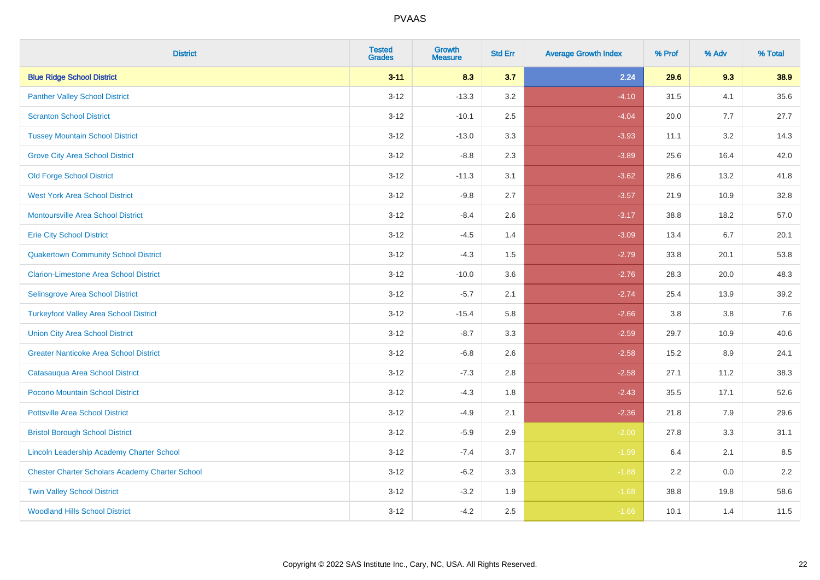| <b>District</b>                                        | <b>Tested</b><br><b>Grades</b> | Growth<br><b>Measure</b> | <b>Std Err</b> | <b>Average Growth Index</b> | % Prof | % Adv | % Total |
|--------------------------------------------------------|--------------------------------|--------------------------|----------------|-----------------------------|--------|-------|---------|
| <b>Blue Ridge School District</b>                      | $3 - 11$                       | 8.3                      | 3.7            | 2.24                        | 29.6   | 9.3   | 38.9    |
| <b>Panther Valley School District</b>                  | $3 - 12$                       | $-13.3$                  | 3.2            | $-4.10$                     | 31.5   | 4.1   | 35.6    |
| <b>Scranton School District</b>                        | $3 - 12$                       | $-10.1$                  | 2.5            | $-4.04$                     | 20.0   | 7.7   | 27.7    |
| <b>Tussey Mountain School District</b>                 | $3 - 12$                       | $-13.0$                  | 3.3            | $-3.93$                     | 11.1   | 3.2   | 14.3    |
| <b>Grove City Area School District</b>                 | $3 - 12$                       | $-8.8$                   | 2.3            | $-3.89$                     | 25.6   | 16.4  | 42.0    |
| <b>Old Forge School District</b>                       | $3 - 12$                       | $-11.3$                  | 3.1            | $-3.62$                     | 28.6   | 13.2  | 41.8    |
| <b>West York Area School District</b>                  | $3 - 12$                       | $-9.8$                   | 2.7            | $-3.57$                     | 21.9   | 10.9  | 32.8    |
| <b>Montoursville Area School District</b>              | $3 - 12$                       | $-8.4$                   | 2.6            | $-3.17$                     | 38.8   | 18.2  | 57.0    |
| <b>Erie City School District</b>                       | $3 - 12$                       | $-4.5$                   | 1.4            | $-3.09$                     | 13.4   | 6.7   | 20.1    |
| <b>Quakertown Community School District</b>            | $3 - 12$                       | $-4.3$                   | 1.5            | $-2.79$                     | 33.8   | 20.1  | 53.8    |
| <b>Clarion-Limestone Area School District</b>          | $3 - 12$                       | $-10.0$                  | 3.6            | $-2.76$                     | 28.3   | 20.0  | 48.3    |
| Selinsgrove Area School District                       | $3 - 12$                       | $-5.7$                   | 2.1            | $-2.74$                     | 25.4   | 13.9  | 39.2    |
| <b>Turkeyfoot Valley Area School District</b>          | $3 - 12$                       | $-15.4$                  | 5.8            | $-2.66$                     | 3.8    | 3.8   | $7.6$   |
| <b>Union City Area School District</b>                 | $3 - 12$                       | $-8.7$                   | 3.3            | $-2.59$                     | 29.7   | 10.9  | 40.6    |
| <b>Greater Nanticoke Area School District</b>          | $3 - 12$                       | $-6.8$                   | 2.6            | $-2.58$                     | 15.2   | 8.9   | 24.1    |
| Catasauqua Area School District                        | $3 - 12$                       | $-7.3$                   | 2.8            | $-2.58$                     | 27.1   | 11.2  | 38.3    |
| Pocono Mountain School District                        | $3 - 12$                       | $-4.3$                   | 1.8            | $-2.43$                     | 35.5   | 17.1  | 52.6    |
| <b>Pottsville Area School District</b>                 | $3 - 12$                       | $-4.9$                   | 2.1            | $-2.36$                     | 21.8   | 7.9   | 29.6    |
| <b>Bristol Borough School District</b>                 | $3 - 12$                       | $-5.9$                   | 2.9            | $-2.00$                     | 27.8   | 3.3   | 31.1    |
| Lincoln Leadership Academy Charter School              | $3 - 12$                       | $-7.4$                   | 3.7            | $-1.99$                     | 6.4    | 2.1   | 8.5     |
| <b>Chester Charter Scholars Academy Charter School</b> | $3 - 12$                       | $-6.2$                   | 3.3            | $-1.88$                     | 2.2    | 0.0   | 2.2     |
| <b>Twin Valley School District</b>                     | $3 - 12$                       | $-3.2$                   | 1.9            | $-1.68$                     | 38.8   | 19.8  | 58.6    |
| <b>Woodland Hills School District</b>                  | $3 - 12$                       | $-4.2$                   | 2.5            | $-1.66$                     | 10.1   | 1.4   | 11.5    |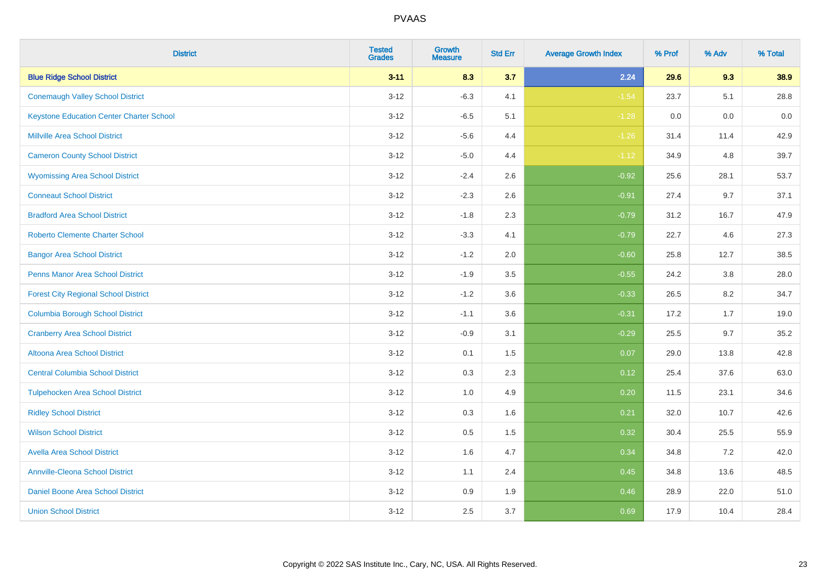| <b>District</b>                                 | <b>Tested</b><br><b>Grades</b> | <b>Growth</b><br><b>Measure</b> | <b>Std Err</b> | <b>Average Growth Index</b> | % Prof | % Adv | % Total |
|-------------------------------------------------|--------------------------------|---------------------------------|----------------|-----------------------------|--------|-------|---------|
| <b>Blue Ridge School District</b>               | $3 - 11$                       | 8.3                             | 3.7            | 2.24                        | 29.6   | 9.3   | 38.9    |
| <b>Conemaugh Valley School District</b>         | $3 - 12$                       | $-6.3$                          | 4.1            | $-1.54$                     | 23.7   | 5.1   | 28.8    |
| <b>Keystone Education Center Charter School</b> | $3 - 12$                       | $-6.5$                          | 5.1            | $-1.28$                     | 0.0    | 0.0   | 0.0     |
| <b>Millville Area School District</b>           | $3 - 12$                       | $-5.6$                          | 4.4            | $-1.26$                     | 31.4   | 11.4  | 42.9    |
| <b>Cameron County School District</b>           | $3-12$                         | $-5.0$                          | 4.4            | $-1.12$                     | 34.9   | 4.8   | 39.7    |
| <b>Wyomissing Area School District</b>          | $3 - 12$                       | $-2.4$                          | 2.6            | $-0.92$                     | 25.6   | 28.1  | 53.7    |
| <b>Conneaut School District</b>                 | $3 - 12$                       | $-2.3$                          | 2.6            | $-0.91$                     | 27.4   | 9.7   | 37.1    |
| <b>Bradford Area School District</b>            | $3 - 12$                       | $-1.8$                          | 2.3            | $-0.79$                     | 31.2   | 16.7  | 47.9    |
| <b>Roberto Clemente Charter School</b>          | $3 - 12$                       | $-3.3$                          | 4.1            | $-0.79$                     | 22.7   | 4.6   | 27.3    |
| <b>Bangor Area School District</b>              | $3 - 12$                       | $-1.2$                          | 2.0            | $-0.60$                     | 25.8   | 12.7  | 38.5    |
| <b>Penns Manor Area School District</b>         | $3 - 12$                       | $-1.9$                          | 3.5            | $-0.55$                     | 24.2   | 3.8   | 28.0    |
| <b>Forest City Regional School District</b>     | $3 - 12$                       | $-1.2$                          | 3.6            | $-0.33$                     | 26.5   | 8.2   | 34.7    |
| <b>Columbia Borough School District</b>         | $3 - 12$                       | $-1.1$                          | 3.6            | $-0.31$                     | 17.2   | 1.7   | 19.0    |
| <b>Cranberry Area School District</b>           | $3 - 12$                       | $-0.9$                          | 3.1            | $-0.29$                     | 25.5   | 9.7   | 35.2    |
| Altoona Area School District                    | $3 - 12$                       | 0.1                             | 1.5            | 0.07                        | 29.0   | 13.8  | 42.8    |
| <b>Central Columbia School District</b>         | $3 - 12$                       | 0.3                             | 2.3            | 0.12                        | 25.4   | 37.6  | 63.0    |
| <b>Tulpehocken Area School District</b>         | $3 - 12$                       | 1.0                             | 4.9            | 0.20                        | 11.5   | 23.1  | 34.6    |
| <b>Ridley School District</b>                   | $3 - 12$                       | 0.3                             | 1.6            | 0.21                        | 32.0   | 10.7  | 42.6    |
| <b>Wilson School District</b>                   | $3 - 12$                       | $0.5\,$                         | 1.5            | 0.32                        | 30.4   | 25.5  | 55.9    |
| <b>Avella Area School District</b>              | $3-12$                         | 1.6                             | 4.7            | 0.34                        | 34.8   | 7.2   | 42.0    |
| <b>Annville-Cleona School District</b>          | $3 - 12$                       | 1.1                             | 2.4            | 0.45                        | 34.8   | 13.6  | 48.5    |
| Daniel Boone Area School District               | $3 - 12$                       | $0.9\,$                         | 1.9            | 0.46                        | 28.9   | 22.0  | 51.0    |
| <b>Union School District</b>                    | $3-12$                         | 2.5                             | 3.7            | 0.69                        | 17.9   | 10.4  | 28.4    |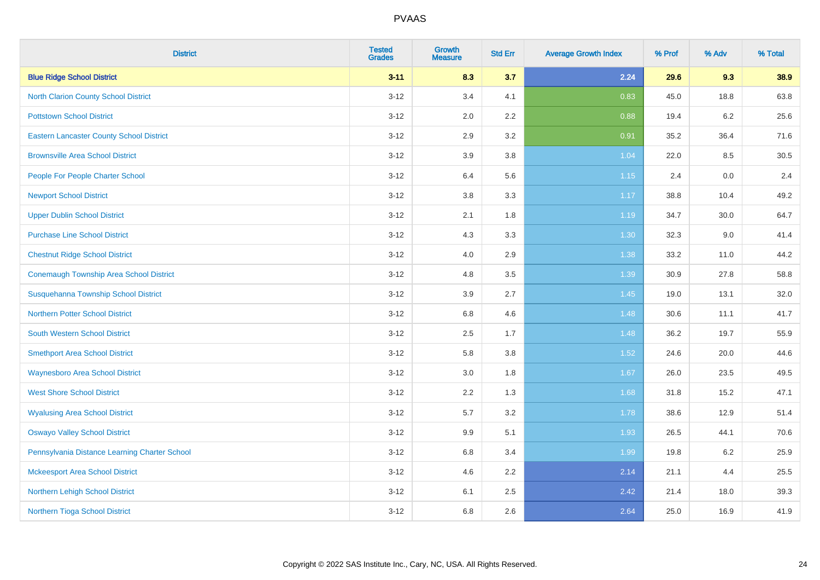| <b>District</b>                                 | <b>Tested</b><br><b>Grades</b> | <b>Growth</b><br><b>Measure</b> | <b>Std Err</b> | <b>Average Growth Index</b> | % Prof | % Adv | % Total |
|-------------------------------------------------|--------------------------------|---------------------------------|----------------|-----------------------------|--------|-------|---------|
| <b>Blue Ridge School District</b>               | $3 - 11$                       | 8.3                             | 3.7            | 2.24                        | 29.6   | 9.3   | 38.9    |
| <b>North Clarion County School District</b>     | $3 - 12$                       | 3.4                             | 4.1            | 0.83                        | 45.0   | 18.8  | 63.8    |
| <b>Pottstown School District</b>                | $3 - 12$                       | 2.0                             | 2.2            | 0.88                        | 19.4   | 6.2   | 25.6    |
| <b>Eastern Lancaster County School District</b> | $3-12$                         | 2.9                             | 3.2            | 0.91                        | 35.2   | 36.4  | 71.6    |
| <b>Brownsville Area School District</b>         | $3-12$                         | 3.9                             | 3.8            | 1.04                        | 22.0   | 8.5   | 30.5    |
| People For People Charter School                | $3 - 12$                       | 6.4                             | 5.6            | $1.15$                      | 2.4    | 0.0   | 2.4     |
| <b>Newport School District</b>                  | $3 - 12$                       | 3.8                             | 3.3            | 1.17                        | 38.8   | 10.4  | 49.2    |
| <b>Upper Dublin School District</b>             | $3-12$                         | 2.1                             | 1.8            | 1.19                        | 34.7   | 30.0  | 64.7    |
| <b>Purchase Line School District</b>            | $3-12$                         | 4.3                             | 3.3            | 1.30                        | 32.3   | 9.0   | 41.4    |
| <b>Chestnut Ridge School District</b>           | $3 - 12$                       | 4.0                             | 2.9            | 1.38                        | 33.2   | 11.0  | 44.2    |
| <b>Conemaugh Township Area School District</b>  | $3 - 12$                       | 4.8                             | 3.5            | 1.39                        | 30.9   | 27.8  | 58.8    |
| <b>Susquehanna Township School District</b>     | $3 - 12$                       | 3.9                             | 2.7            | 1.45                        | 19.0   | 13.1  | 32.0    |
| Northern Potter School District                 | $3 - 12$                       | $6.8\,$                         | 4.6            | 1.48                        | 30.6   | 11.1  | 41.7    |
| <b>South Western School District</b>            | $3 - 12$                       | 2.5                             | 1.7            | 1.48                        | 36.2   | 19.7  | 55.9    |
| <b>Smethport Area School District</b>           | $3-12$                         | 5.8                             | 3.8            | 1.52                        | 24.6   | 20.0  | 44.6    |
| <b>Waynesboro Area School District</b>          | $3 - 12$                       | $3.0\,$                         | 1.8            | 1.67                        | 26.0   | 23.5  | 49.5    |
| <b>West Shore School District</b>               | $3 - 12$                       | $2.2\,$                         | 1.3            | 1.68                        | 31.8   | 15.2  | 47.1    |
| <b>Wyalusing Area School District</b>           | $3-12$                         | 5.7                             | 3.2            | 1.78                        | 38.6   | 12.9  | 51.4    |
| <b>Oswayo Valley School District</b>            | $3-12$                         | 9.9                             | 5.1            | 1.93                        | 26.5   | 44.1  | 70.6    |
| Pennsylvania Distance Learning Charter School   | $3 - 12$                       | 6.8                             | 3.4            | 1.99                        | 19.8   | 6.2   | 25.9    |
| <b>Mckeesport Area School District</b>          | $3 - 12$                       | 4.6                             | 2.2            | 2.14                        | 21.1   | 4.4   | 25.5    |
| Northern Lehigh School District                 | $3 - 12$                       | 6.1                             | 2.5            | 2.42                        | 21.4   | 18.0  | 39.3    |
| Northern Tioga School District                  | $3 - 12$                       | 6.8                             | 2.6            | 2.64                        | 25.0   | 16.9  | 41.9    |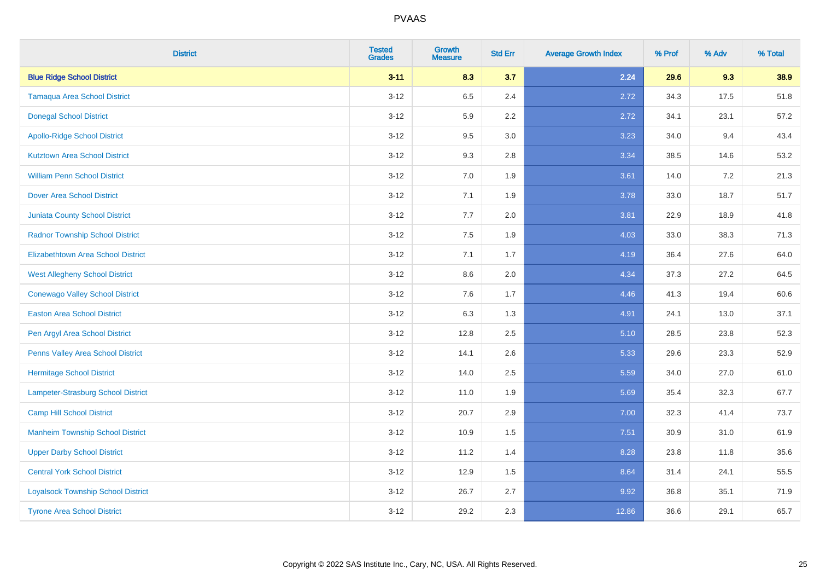| <b>District</b>                           | <b>Tested</b><br><b>Grades</b> | <b>Growth</b><br><b>Measure</b> | <b>Std Err</b> | <b>Average Growth Index</b> | % Prof | % Adv | % Total |
|-------------------------------------------|--------------------------------|---------------------------------|----------------|-----------------------------|--------|-------|---------|
| <b>Blue Ridge School District</b>         | $3 - 11$                       | 8.3                             | 3.7            | 2.24                        | 29.6   | 9.3   | 38.9    |
| <b>Tamaqua Area School District</b>       | $3 - 12$                       | 6.5                             | 2.4            | 2.72                        | 34.3   | 17.5  | 51.8    |
| <b>Donegal School District</b>            | $3 - 12$                       | 5.9                             | 2.2            | 2.72                        | 34.1   | 23.1  | 57.2    |
| <b>Apollo-Ridge School District</b>       | $3-12$                         | 9.5                             | 3.0            | 3.23                        | 34.0   | 9.4   | 43.4    |
| <b>Kutztown Area School District</b>      | $3-12$                         | 9.3                             | 2.8            | 3.34                        | 38.5   | 14.6  | 53.2    |
| <b>William Penn School District</b>       | $3 - 12$                       | 7.0                             | 1.9            | 3.61                        | 14.0   | 7.2   | 21.3    |
| <b>Dover Area School District</b>         | $3 - 12$                       | 7.1                             | 1.9            | 3.78                        | 33.0   | 18.7  | 51.7    |
| <b>Juniata County School District</b>     | $3-12$                         | 7.7                             | 2.0            | 3.81                        | 22.9   | 18.9  | 41.8    |
| <b>Radnor Township School District</b>    | $3-12$                         | 7.5                             | 1.9            | 4.03                        | 33.0   | 38.3  | 71.3    |
| <b>Elizabethtown Area School District</b> | $3 - 12$                       | 7.1                             | 1.7            | 4.19                        | 36.4   | 27.6  | 64.0    |
| <b>West Allegheny School District</b>     | $3 - 12$                       | 8.6                             | 2.0            | 4.34                        | 37.3   | 27.2  | 64.5    |
| <b>Conewago Valley School District</b>    | $3 - 12$                       | 7.6                             | 1.7            | 4.46                        | 41.3   | 19.4  | 60.6    |
| <b>Easton Area School District</b>        | $3 - 12$                       | 6.3                             | 1.3            | 4.91                        | 24.1   | 13.0  | 37.1    |
| Pen Argyl Area School District            | $3 - 12$                       | 12.8                            | 2.5            | 5.10                        | 28.5   | 23.8  | 52.3    |
| Penns Valley Area School District         | $3-12$                         | 14.1                            | 2.6            | 5.33                        | 29.6   | 23.3  | 52.9    |
| <b>Hermitage School District</b>          | $3 - 12$                       | 14.0                            | 2.5            | 5.59                        | 34.0   | 27.0  | 61.0    |
| <b>Lampeter-Strasburg School District</b> | $3 - 12$                       | 11.0                            | 1.9            | 5.69                        | 35.4   | 32.3  | 67.7    |
| <b>Camp Hill School District</b>          | $3-12$                         | 20.7                            | 2.9            | 7.00                        | 32.3   | 41.4  | 73.7    |
| <b>Manheim Township School District</b>   | $3 - 12$                       | 10.9                            | 1.5            | 7.51                        | 30.9   | 31.0  | 61.9    |
| <b>Upper Darby School District</b>        | $3-12$                         | 11.2                            | 1.4            | 8.28                        | 23.8   | 11.8  | 35.6    |
| <b>Central York School District</b>       | $3 - 12$                       | 12.9                            | 1.5            | 8.64                        | 31.4   | 24.1  | 55.5    |
| <b>Loyalsock Township School District</b> | $3 - 12$                       | 26.7                            | 2.7            | 9.92                        | 36.8   | 35.1  | 71.9    |
| <b>Tyrone Area School District</b>        | $3 - 12$                       | 29.2                            | 2.3            | 12.86                       | 36.6   | 29.1  | 65.7    |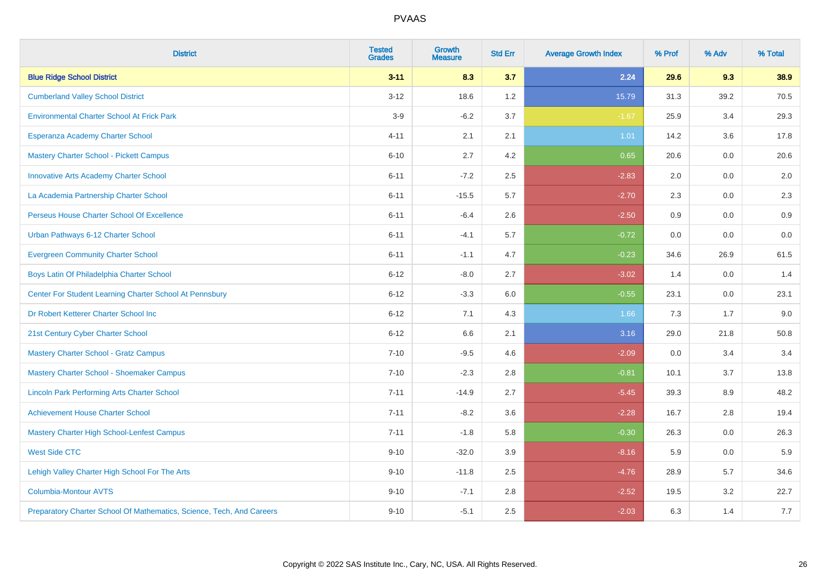| <b>District</b>                                                       | <b>Tested</b><br><b>Grades</b> | <b>Growth</b><br><b>Measure</b> | <b>Std Err</b> | <b>Average Growth Index</b> | % Prof | % Adv | % Total |
|-----------------------------------------------------------------------|--------------------------------|---------------------------------|----------------|-----------------------------|--------|-------|---------|
| <b>Blue Ridge School District</b>                                     | $3 - 11$                       | 8.3                             | 3.7            | 2.24                        | 29.6   | 9.3   | 38.9    |
| <b>Cumberland Valley School District</b>                              | $3 - 12$                       | 18.6                            | 1.2            | 15.79                       | 31.3   | 39.2  | 70.5    |
| <b>Environmental Charter School At Frick Park</b>                     | $3-9$                          | $-6.2$                          | 3.7            | $-1.67$                     | 25.9   | 3.4   | 29.3    |
| Esperanza Academy Charter School                                      | $4 - 11$                       | 2.1                             | 2.1            | 1.01                        | 14.2   | 3.6   | 17.8    |
| <b>Mastery Charter School - Pickett Campus</b>                        | $6 - 10$                       | 2.7                             | 4.2            | 0.65                        | 20.6   | 0.0   | 20.6    |
| <b>Innovative Arts Academy Charter School</b>                         | $6 - 11$                       | $-7.2$                          | 2.5            | $-2.83$                     | 2.0    | 0.0   | 2.0     |
| La Academia Partnership Charter School                                | $6 - 11$                       | $-15.5$                         | 5.7            | $-2.70$                     | 2.3    | 0.0   | $2.3\,$ |
| Perseus House Charter School Of Excellence                            | $6 - 11$                       | $-6.4$                          | 2.6            | $-2.50$                     | 0.9    | 0.0   | 0.9     |
| Urban Pathways 6-12 Charter School                                    | $6 - 11$                       | $-4.1$                          | 5.7            | $-0.72$                     | 0.0    | 0.0   | 0.0     |
| <b>Evergreen Community Charter School</b>                             | $6 - 11$                       | $-1.1$                          | 4.7            | $-0.23$                     | 34.6   | 26.9  | 61.5    |
| Boys Latin Of Philadelphia Charter School                             | $6 - 12$                       | $-8.0$                          | 2.7            | $-3.02$                     | 1.4    | 0.0   | 1.4     |
| Center For Student Learning Charter School At Pennsbury               | $6 - 12$                       | $-3.3$                          | 6.0            | $-0.55$                     | 23.1   | 0.0   | 23.1    |
| Dr Robert Ketterer Charter School Inc                                 | $6 - 12$                       | 7.1                             | 4.3            | 1.66                        | 7.3    | 1.7   | 9.0     |
| 21st Century Cyber Charter School                                     | $6 - 12$                       | 6.6                             | 2.1            | 3.16                        | 29.0   | 21.8  | 50.8    |
| <b>Mastery Charter School - Gratz Campus</b>                          | $7 - 10$                       | $-9.5$                          | 4.6            | $-2.09$                     | 0.0    | 3.4   | 3.4     |
| Mastery Charter School - Shoemaker Campus                             | $7 - 10$                       | $-2.3$                          | 2.8            | $-0.81$                     | 10.1   | 3.7   | 13.8    |
| <b>Lincoln Park Performing Arts Charter School</b>                    | $7 - 11$                       | $-14.9$                         | 2.7            | $-5.45$                     | 39.3   | 8.9   | 48.2    |
| <b>Achievement House Charter School</b>                               | $7 - 11$                       | $-8.2$                          | 3.6            | $-2.28$                     | 16.7   | 2.8   | 19.4    |
| <b>Mastery Charter High School-Lenfest Campus</b>                     | $7 - 11$                       | $-1.8$                          | 5.8            | $-0.30$                     | 26.3   | 0.0   | 26.3    |
| <b>West Side CTC</b>                                                  | $9 - 10$                       | $-32.0$                         | 3.9            | $-8.16$                     | 5.9    | 0.0   | 5.9     |
| Lehigh Valley Charter High School For The Arts                        | $9 - 10$                       | $-11.8$                         | 2.5            | $-4.76$                     | 28.9   | 5.7   | 34.6    |
| <b>Columbia-Montour AVTS</b>                                          | $9 - 10$                       | $-7.1$                          | 2.8            | $-2.52$                     | 19.5   | 3.2   | 22.7    |
| Preparatory Charter School Of Mathematics, Science, Tech, And Careers | $9 - 10$                       | $-5.1$                          | 2.5            | $-2.03$                     | 6.3    | 1.4   | 7.7     |